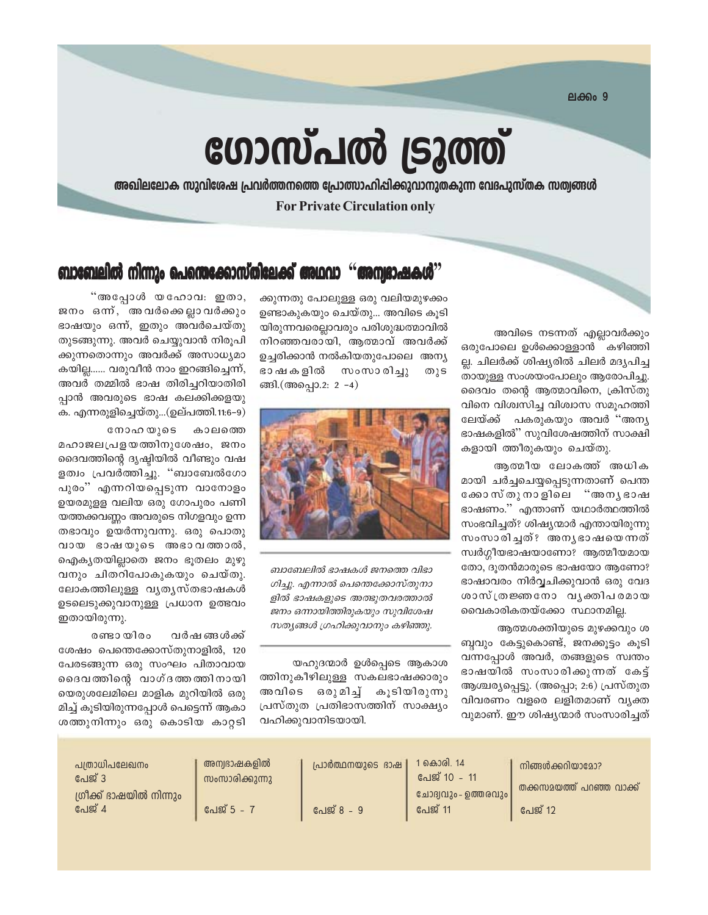**ലക്കം** 9

# ഗോസ്പൽ ട്രൂത്ത്

അഖിലലോക സുവിശേഷ പ്രവർത്തനത്തെ പ്രോത്സാഹിപ്പിക്കുവാനുതകുന്ന വേദപുസ്തക സത്വങ്ങൾ **For Private Circulation only** 

#### ബാബേലിൽ നിന്നും പെന്തെക്കോസ്തിലേക്ക് അഥവാ ''അന്വഭാഷകശ്

അവിടെ നടന്നത് എല്ലാവർക്കും ഒരുപോലെ ഉൾക്കൊള്ളാൻ കഴിഞ്ഞി ല്ല. ചിലർക്ക് ശിഷ്യരിൽ ചിലർ മദ്യപിച്ച തായുള്ള സംശയംപോലും ആരോപിച്ചു. ദൈവം തന്റെ ആത്മാവിനെ, ക്രിസ്തു വിനെ വിശ്വസിച്ച വിശ്വാസ സമൂഹത്തി ലേയ്ക്ക് പകരുകയും അവർ "അന്യ ഭാഷകളിൽ'' സുവിശേഷത്തിന് സാക്ഷി കളായി ത്തീരുകയും ചെയ്തു.

ആത്മീയ ലോകത്ത് അധിക മായി ചർച്ചചെയ്യപ്പെടുന്നതാണ് പെന്ത ക്കോസ്തുനാളിലെ "അനൃഭാഷ ഭാഷണം.'' എന്താണ് യഥാർത്ഥത്തിൽ സംഭവിച്ചത്? ശിഷ്യന്മാർ എന്തായിരുന്നു സംസാരിച്ചത്? അനൃഭാഷയെന്നത് സ്വർഗ്ഗീയഭാഷയാണോ? ആത്മീയമായ തോ, ദുതൻമാരുടെ ഭാഷയോ ആണോ? ഭാഷാവരം നിർവ്വചിക്കുവാൻ ഒരു വേദ ശാസ്ത്രജ്ഞനോ വൃക്തിപരമായ വൈകാരികതയ്ക്കോ സ്ഥാനമില്ല.

ആത്മശക്തിയുടെ മുഴക്കവും ശ ബ്ബവും കേട്ടുകൊണ്ട്, ജനക്കൂട്ടം കൂടി വന്നപ്പോൾ അവർ, തങ്ങളുടെ സ്വന്തം ഭാഷയിൽ സംസാരിക്കുന്നത് കേട്ട് ആശ്ചര്യപ്പെട്ടു. (അപ്പൊ; 2:6) പ്രസ്തുത വിവരണം വളരെ ലളിതമാണ് വ്യക്ത വുമാണ്. ഈ ശിഷ്യന്മാർ സംസാരിച്ചത്

ക്കുന്നതു പോലുള്ള ഒരു വലിയമുഴക്കം ഉണ്ടാകുകയും ചെയ്തു... അവിടെ കൂടി യിരുന്നവരെല്ലാവരും പരിശുദ്ധത്മാവിൽ നിറഞ്ഞവരായി, ആത്മാവ് അവർക്ക് ഉച്ചരിക്കാൻ നൽകിയതുപോലെ അന്യ സംസാരിച്ചു ഭാ ഷ ക ളിൽ തുട ങ്ങി.(അപ്പൊ.2: 2 -4)



ബാബേലിൽ ഭാഷകൾ ജനത്തെ വിഭാ ഗിച്ചു. എന്നാൽ പെന്തെക്കോസ്തുനാ ളിൽ ഭാഷകളുടെ അത്ഭുതവരത്താൽ ജനം ഒന്നായിത്തിരുകയും സുവിശേഷ സത്യങ്ങൾ ഗ്രഹിക്കുവാനും കഴിഞ്ഞു.

യഹുദന്മാർ ഉൾപ്പെടെ ആകാശ ത്തിനുകീഴിലുള്ള സകലഭാഷക്കാരും അവിടെ ഒരുമിച്ച് കൂടിയിരുന്നു പ്രസ്തുത പ്രതിഭാസത്തിന് സാക്ഷ്യം വഹിക്കുവാനിടയായി.

"അപ്പോൾ യഹോവ: ഇതാ, ജനം ഒന്ന, അവർക്കെല്ലാവർക്കും ഭാഷയും ഒന്ന്, ഇതും അവർചെയ്തു തുടങ്ങുന്നു. അവർ ചെയ്യുവാൻ നിരുപി ക്കുന്നതൊന്നും അവർക്ക് അസാധ്യമാ കയില്ല...... വരുവീൻ നാം ഇറങ്ങിച്ചെന്ന്, അവർ തമ്മിൽ ഭാഷ തിരിച്ചറിയാതിരി പ്പാൻ അവരുടെ ഭാഷ കലക്കിക്കളയ<mark>ു</mark> ക. എന്നരുളിച്ചെയ്തു...(ഉല്പത്തി.11:6–9)

നോഹയുടെ കാലത്തെ മഹാജലപ്രളയത്തിനുശേഷം, ജനം ദൈവത്തിന്റെ ദൃഷ്ടിയിൽ വീണ്ടും വഷ ളത്വം പ്രവർത്തിച്ചു. "ബാബേൽഗോ പുരം" എന്നറിയപ്പെടുന്ന വാനോളം ഉയരമുളള വലിയ ഒരു ഗോപുരം പണി യത്തക്കവണ്ണം അവരുടെ നിഗളവും ഉന്ന തഭാവും ഉയർന്നുവന്നു. ഒരു പൊതു വായ ഭാഷയുടെ അഭാവത്താൽ, ഐക്യതയില്ലാതെ ജനം ഭുതലം മുഴു വനും ചിതറിപോകുകയും ചെയ്തു. ലോകത്തിലുള്ള വൃതൃസ്തഭാഷകൾ ഉടലെടുക്കുവാനുള്ള പ്രധാന ഉത്ഭവം ഇതായിരുന്നു.

രണ്ടായിരം വർഷ ങ്ങൾക്ക് ശേഷം പെന്തെക്കോസ്തുനാളിൽ, 120 പേരടങ്ങുന്ന ഒരു സംഘം പിതാവായ ദൈവത്തിന്റെ വാഗ്ദത്തത്തിനായി യെരുശലേമിലെ മാളിക മുറിയിൽ ഒരു മിച്ച് കൂടിയിരുന്നപ്പോൾ പെട്ടെന്ന് ആകാ ശത്തുനിന്നും ഒരു കൊടിയ കാറ്റടി

| പത്രാധിപലേഖനം                     | അന്വഭാഷകളിൽ    | പ്രാർത്ഥനയുടെ ഭാഷ | 1 കൊരി. 14<br>പേജ് 10 - 11 | നിങ്ങൾക്കറിയാമോ?         |
|-----------------------------------|----------------|-------------------|----------------------------|--------------------------|
| പേജ് 3<br>ശ്രീക്ക് ഭാഷയിൽ നിന്നും | സംസാരിക്കുന്നു |                   | ചോദ്വവും - ഉത്തരവും        | തക്കസമയത്ത് പറഞ്ഞ വാക്ക് |
| പേജ് 4                            | പേജ് 5 –       | പേജ് 8 - 9        | പേജ് 11                    | പേജ് 12                  |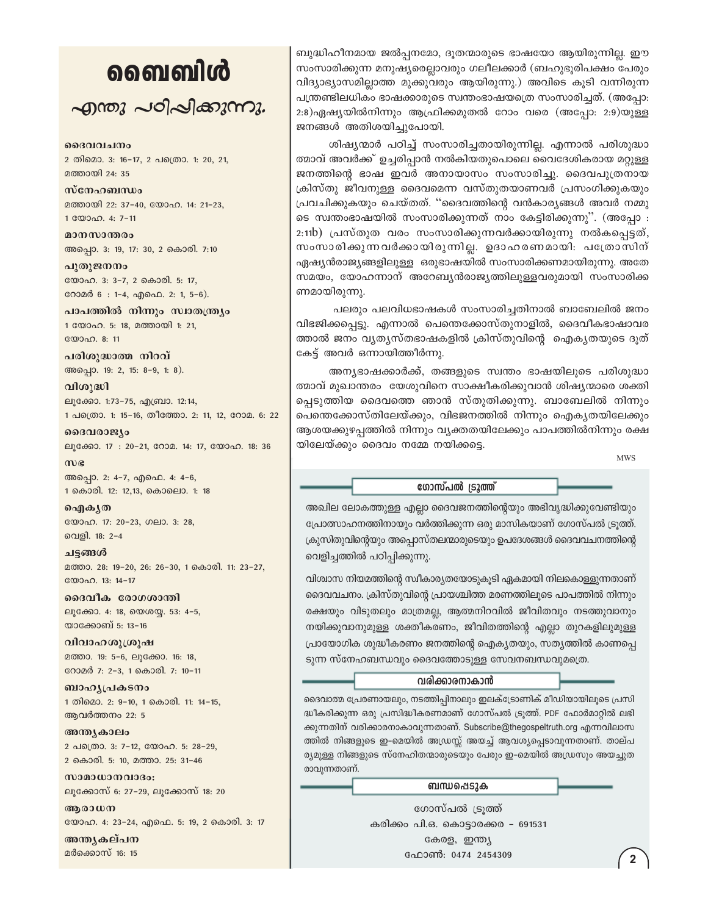### வைவிൾ

 $\sim$ ฏกอง  $\sim$ อา $\sim$ ใ $\sim$ งการ

#### ദൈവവചനം

2 തിമൊ. 3: 16-17, 2 പത്രൊ. 1: 20, 21, മത്തായി 24: 35

സ്നേഹബന്ധം മത്തായി 22: 37-40, യോഹ. 14: 21-23, 1 00000. 4: 7-11

മാനസാന്തരം അപ്പൊ. 3: 19, 17: 30, 2 കൊരി. 7:10

പുതുജനനം യോഹ. 3: 3-7, 2 കൊരി. 5: 17, റോമർ 6 : 1-4, എഫെ. 2: 1, 5-6).

പാപത്തിൽ നിന്നും സ്വാതന്ത്ര്യം 1 യോഹ. 5: 18, മത്തായി 1: 21, യോഹ. 8: 11

പരിശുദ്ധാത്മ നിറവ് അപ്പൊ. 19: 2, 15: 8-9, 1: 8).

വിശുദ്ധി ലൂക്കോ. 1:73-75, എബ്രാ. 12:14, 1 പത്രൊ. 1: 15-16, തീത്തോ. 2: 11, 12, റോമ. 6: 22

ദൈവരാജ്യം ലൂക്കോ. 17: 20-21, റോമ. 14: 17, യോഹ. 18: 36

 $\omega$ അപ്പൊ. 2: 4-7, എഫെ. 4: 4-6, 1 കൊരി. 12: 12,13, കൊലൊ. 1: 18

ഐകൃത യോഹ. 17: 20-23, ഗലാ. 3: 28, വെളി. 18: 2-4

ചട്ടങ്ങൾ മത്താ. 28: 19-20, 26: 26-30, 1 കൊരി. 11: 23-27, യോഹ. 13: 14-17

ദൈവീക രോഗശാന്തി ലൂക്കോ. 4: 18, യെശയ്യ. 53: 4-5, യാക്കോബ് 5: 13-16

വിവാഹശുശ്രൂഷ മത്താ. 19: 5-6, ലുക്കോ. 16: 18, റോമർ 7: 2-3, 1 കൊരി. 7: 10-11

ബാഹൃപ്രകടനം 1 തിമൊ. 2: 9-10, 1 കൊരി. 11: 14-15, ആവർത്തനം 22: 5

അന്തൃകാലം 2 പക്രൊ. 3: 7-12, യോഹ. 5: 28-29, 2 കൊരി. 5: 10, മത്താ. 25: 31-46

സാമാധാനവാദം: ലൂക്കോസ് 6: 27-29, ലൂക്കോസ് 18: 20

ആരാധന യോഹ. 4: 23-24, എഫെ. 5: 19, 2 കൊരി. 3: 17

അന്തൃകല്പന മർക്കൊസ് 16: 15

ബുദ്ധിഹീനമായ ജൽപ്പനമോ, ദുതന്മാരുടെ ഭാഷയോ ആയിരുന്നില്ല. ഈ സംസാരിക്കുന്ന മനുഷ്യരെല്ലാവരും ഗലീലക്കാർ (ബഹുഭൂരിപക്ഷം പേരും വിദ്യാഭ്യാസമില്ലാത്ത മുക്കുവരും ആയിരുന്നു.) അവിടെ കൂടി വന്നിരുന്ന പന്ത്രണ്ടിലധികം ഭാഷക്കാരുടെ സ്വന്തംഭാഷയത്രെ സംസാരിച്ചത്. (അപ്പോ: 2:8)ഏഷ്യയിൽനിന്നും ആഫ്രിക്കമുതൽ റോം വരെ (അപ്പോ: 2:9)യുള്ള ജനങ്ങൾ അതിശയിച്ചുപോയി.

ശിഷ്യന്മാർ പഠിച്ച് സംസാരിച്ചതായിരുന്നില്ല. എന്നാൽ പരിശുദ്ധാ ത്മാവ് അവർക്ക് ഉച്ചരിപ്പാൻ നൽകിയതുപൊലെ വൈദേശികരായ മറ്റുള്ള ജനത്തിന്റെ ഭാഷ ഇവർ അനായാസം സംസാരിച്ചു. ദൈവപുത്രനായ ക്രിസ്തു ജീവനുള്ള ദൈവമെന്ന വസ്തുതയാണവർ പ്രസംഗിക്കുകയും പ്രവചിക്കുകയും ചെയ്തത്. ''ദൈവത്തിന്റെ വൻകാര്യങ്ങൾ അവർ നമ്മു ടെ സ്വന്തംഭാഷയിൽ സംസാരിക്കുന്നത് നാം കേട്ടിരിക്കുന്നു''. (അപ്പോ : 2:11b) പ്രസ്തുത വരം സംസാരിക്കുന്നവർക്കായിരുന്നു നൽകപ്പെട്ടത്, സംസാരിക്കുന്നവർക്കായിരുന്നില്ല. ഉദാഹരണമായി: പത്രോസിന് ഏഷ്യൻരാജ്യങ്ങളിലുള്ള ഒരുഭാഷയിൽ സംസാരിക്കണമായിരുന്നു. അതേ സമയം, യോഹന്നാന് അറേബ്യൻരാജ്യത്തിലുള്ളവരുമായി സംസാരിക്ക ണമായിരുന്നു.

പലരും പലവിധഭാഷകൾ സംസാരിച്ചതിനാൽ ബാബേലിൽ ജനം വിഭജിക്കപ്പെട്ടു. എന്നാൽ പെന്തെക്കോസ്തുനാളിൽ, ദൈവീകഭാഷാവര ത്താൽ ജനം വൃതൃസ്തഭാഷകളിൽ ക്രിസ്തുവിന്റെ ഐകൃതയുടെ ദൂത് കേട്ട് അവർ ഒന്നായിത്തീർന്നു.

അന്യഭാഷക്കാർക്ക്, തങ്ങളുടെ സ്വന്തം ഭാഷയിലൂടെ പരിശുദ്ധാ ത്മാവ് മുഖാന്തരം യേശുവിനെ സാക്ഷീകരിക്കുവാൻ ശിഷ്യന്മാരെ ശക്തി പ്പെടുത്തിയ ദൈവത്തെ ഞാൻ സ്തുതിക്കുന്നു. ബാബേലിൽ നിന്നും പെന്തെക്കോസ്തിലേയ്ക്കും, വിഭജനത്തിൽ നിന്നും ഐക്യതയിലേക്കും ആശയക്കുഴപ്പത്തിൽ നിന്നും വ്യക്തതയിലേക്കും പാപത്തിൽനിന്നും രക്ഷ യിലേയ്ക്കും ദൈവം നമ്മേ നയിക്കട്ടെ.

**MWS** 

 $\overline{2}$ 

#### ഗോസ്പൽ ട്രൂത്ത്

അഖില ലോകത്തുള്ള എല്ലാ ദൈവജനത്തിന്റെയും അഭിവൃദ്ധിക്കുവേണ്ടിയും പ്രോത്സാഹനത്തിനായും വർത്തിക്കുന്ന ഒരു മാസികയാണ് ഗോസ്പൽ ട്രുത്ത്. ക്രുസിതുവിന്റെയും അപ്പൊസ്തലന്മാരുടെയും ഉപദേശങ്ങൾ ദൈവവചനത്തിന്റെ വെളിച്ചത്തിൽ പഠിപ്പിക്കുന്നു.

വിശ്വാസ നിയമത്തിന്റെ സ്ഥീകാര്യതയോടുകൂടി ഏകമായി നിലകൊള്ളുന്നതാണ് ദൈവവചനം. ക്രിസ്തുവിന്റെ പ്രായശ്ചിത്ത മരണത്തിലുടെ പാപത്തിൽ നിന്നും രക്ഷയും വിടുതലും മാത്രമല്ല, ആത്മനിറവിൽ ജീവിതവും നടത്തുവാനും നയിക്കുവാനുമുള്ള ശക്തീകരണം, ജീവിതത്തിന്റെ എല്ലാ തുറകളിലുമുള്ള പ്രായോഗിക ശുദ്ധീകരണം ജനത്തിന്റെ ഐക്യതയും, സത്യത്തിൽ കാണപ്പെ ടുന്ന സ്നേഹബന്ധവും ദൈവത്തോടുള്ള സേവനബന്ധവുമത്രെ.

#### വരിക്കാരനാകാൻ

ദൈവാത്മ പ്രേരണായലും, നടത്തിപ്പിനാലും ഇലക്ട്രോണിക് മീഡിയായിലൂടെ പ്രസി ദ്ധീകരിക്കുന്ന ഒരു പ്രസിദ്ധീകരണമാണ് ഗോസ്പൽ ട്രുത്ത്. PDF ഫോർമാറ്റിൽ ലഭി ക്കുന്നതിന് വരിക്കാരനാകാവുന്നതാണ്. Subscribe@thegospeltruth.org എന്നവിലാസ ത്തിൽ നിങ്ങളുടെ ഇ-മെയിൽ അഡ്രസ്സ് അയച്ച് ആവശ്യപ്പെടാവുന്നതാണ്. താല്പ ര്യമുള്ള നിങ്ങളുടെ സ്നേഹിതന്മാരുടെയും പേരും ഇ-മെയിൽ അഡ്രസും അയച്ചുത രാവുന്നതാണ്.

#### ബന്ധപ്പെടുക

ഗോസ്പൽ ട്രുത്ത് കരിക്കം പി.ഒ. കൊട്ടാരക്കര - 691531 കേരള, ഇന്ത്യ ഫോൺ: 0474 2454309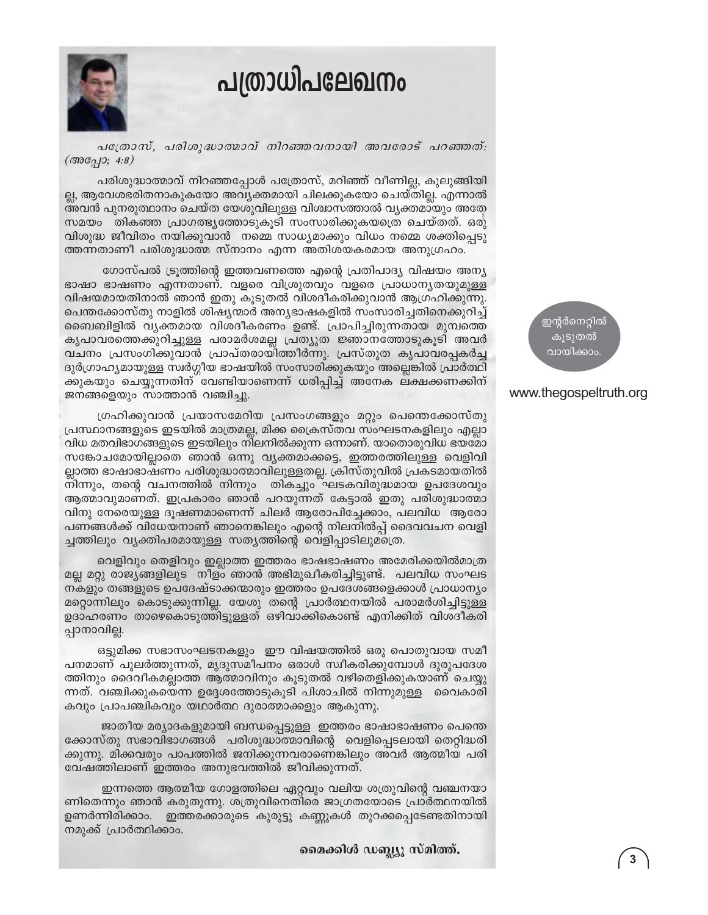## പത്രാധിപലേഖനം



പത്രോസ്, പരിശുദ്ധാത്മാവ് നിറഞ്ഞവനായി അവരോട് പറഞ്ഞത്:  $(\text{600})$ ; 4:8)

പരിശുദ്ധാത്മാവ് നിറഞ്ഞപ്പോൾ പത്രോസ്, മറിഞ്ഞ് വീണില്ല, കുലുങ്ങിയി ല്ല, ആവേശഭരിതനാകുകയോ അവ്യക്തമായി ചിലക്കുകയോ ചെയ്തില്ല. എന്നാൽ അവൻ പുനരുത്ഥാനം ചെയ്ത യേശുവിലുള്ള വിശ്വാസത്താൽ വ്യക്തമായും അതേ സമയം തികഞ്ഞ പ്രാഗത്ഭ്യത്തോടുകൂടി സംസാരിക്കുകയത്രെ ചെയ്തത്. ഒരു വിശുദ്ധ ജീവിതം നയിക്കുവാൻ നമ്മെ സാധ്യമാക്കും വിധം നമ്മെ ശക്തിപ്പെടു ത്തന്നതാണീ പരിശുദ്ധാത്മ സ്നാനം എന്ന അതിശയകരമായ അനുഗ്രഹം.

ഗോസ്പൽ ട്രുത്തിന്റെ ഇത്തവണത്തെ എന്റെ പ്രതിപാദ്യ വിഷയം അന്യ ഭാഷാ ഭാഷണം എന്നതാണ്. വളരെ വിശ്രുതവും വളരെ പ്രാധാനൃതയുമുള്ള വിഷയമായതിനാൽ ഞാൻ ഇതു കൂടുതൽ വിശദീകരിക്കുവാൻ ആഗ്രഹിക്കുന്നു. പെന്തക്കോസ്തു നാളിൽ ശിഷ്യന്മാർ അന്യഭാഷകളിൽ സംസാരിച്ചതിനെക്കുറിച്ച് ബൈബിളിൽ വൃക്തമായ വിശദീകരണം ഉണ്ട്. പ്രാപിച്ചിരുന്നതായ മുമ്പത്തെ കൃപാവരത്തെക്കുറിച്ചുള്ള പരാമർശമല്ല പ്രത്യുത ജ്ഞാനത്തോടുകൂടി അവർ വചനം പ്രസംഗിക്കുവാൻ പ്രാപ്തരായിത്തീർന്നു. പ്രസ്തുത കൃപാവരപ്പകർച്ച ദുർഗ്രാഹ്യമായുള്ള സ്വർഗ്ഗീയ ഭാഷയിൽ സംസാരിക്കുകയും അല്ലെങ്കിൽ പ്രാർത്ഥി ക്കുകയും ചെയ്യുന്നതിന് വേണ്ടിയാണെന്ന് ധരിപ്പിച്ച് അനേക ലക്ഷക്കണക്കിന് ജനങ്ങളെയും സാത്താൻ വഞ്ചിച്ചു.

ഗ്രഹിക്കുവാൻ പ്രയാസമേറിയ പ്രസംഗങ്ങളും മറ്റും പെന്തെക്കോസ്തു പ്രസ്ഥാനങ്ങളുടെ ഇടയിൽ മാത്രമല്ല, മിക്ക ക്രൈസ്തവ സംഘടനകളിലും എല്ലാ വിധ മതവിഭാഗങ്ങളുടെ ഇടയിലും നിലനിൽക്കുന്ന ഒന്നാണ്. യാതൊരുവിധ ഭയമോ സങ്കോചമോയില്ലാതെ ഞാൻ ഒന്നു വ്യക്തമാക്കട്ടെ, ഇത്തരത്തിലുള്ള വെളിവി ല്ലാത്ത ഭാഷാഭാഷണം പരിശുദ്ധാത്മാവിലുള്ളതല്ല. ക്രിസ്തുവിൽ പ്രകടമായതിൽ നിന്നും, തന്റെ വചനത്തിൽ നിന്നും തികച്ചും ഘടകവിരുദ്ധമായ ഉപദേശവും ആത്മാവുമാണത്. ഇപ്രകാരം ഞാൻ പറയുന്നത് കേട്ടാൽ ഇതു പരിശുദ്ധാത്മാ വിനു നേരെയുള്ള ദൂഷണമാണെന്ന് ചിലർ ആരോപിച്ചേക്കാം, പലവിധ ആരോ പണങ്ങൾക്ക് വിധേയനാണ് ഞാനെങ്കിലും എന്റെ നിലനിൽപ്പ് ദൈവവചന വെളി ച്ചത്തിലും വ്യക്തിപരമായുള്ള സത്യത്തിന്റെ വെളിപ്പാടിലുമത്രെ.

വെളിവും തെളിവും ഇല്ലാത്ത ഇത്തരം ഭാഷഭാഷണം അമേരിക്കയിൽമാത്ര മല്ല മറ്റു രാജ്യങ്ങളിലുട നീളം ഞാൻ അഭിമുഖീകരിച്ചിട്ടുണ്ട്. പലവിധ സംഘട നകളും തങ്ങളുടെ ഉപദേഷ്ടാക്കന്മാരും ഇത്തരം ഉപദേശങ്ങളെക്കാൾ പ്രാധാന്യം മറ്റൊന്നിലും കൊടുക്കുന്നില്ല. യേശു തന്റെ പ്രാർത്ഥനയിൽ പരാമർശിച്ചിട്ടുള്ള ഉദാഹരണം താഴെകൊടുത്തിട്ടുള്ളത് ഒഴിവാക്കികൊണ്ട് എനിക്കിത് വിശദീകരി പ്പാനാവില്ല.

ഒട്ടുമിക്ക സഭാസംഘടനകളും ഈ വിഷയത്തിൽ ഒരു പൊതുവായ സമീ പനമാണ് പുലർത്തുന്നത്, മൃദുസമീപനം ഒരാൾ സ്വീകരിക്കുമ്പോൾ ദുരുപദേശ ത്തിനും ദൈവീകമല്ലാത്ത ആത്മാവിനും കൂടുതൽ വഴിതെളിക്കുകയാണ് ചെയ്യു ന്നത്. വഞ്ചിക്കുകയെന്ന ഉദ്ദേശത്തോടുകൂടി പിശാചിൽ നിന്നുമുള്ള വൈകാരി കവും പ്രാപഞ്ചികവും യഥാർത്ഥ ദുരാത്മാക്കളും ആകുന്നു.

ജാതീയ മര്യാദകളുമായി ബന്ധപ്പെട്ടുള്ള ഇത്തരം ഭാഷാഭാഷണം പെന്തെ ക്കോസ്തു സഭാവിഭാഗങ്ങൾ പരിശുദ്ധാത്മാവിന്റെ വെളിപ്പെടലായി തെറ്റിദ്ധരി ക്കുന്നു. മിക്കവരും പാപത്തിൽ ജനിക്കുന്നവരാണെങ്കിലും അവർ ആത്മീയ പരി വേഷത്തിലാണ് ഇത്തരം അനുഭവത്തിൽ ജീവിക്കുന്നത്.

ഇന്നത്തെ ആത്മീയ ഗോളത്തിലെ ഏറ്റവും വലിയ ശത്രുവിന്റെ വഞ്ചനയാ ണിതെന്നും ഞാൻ കരുതുന്നു. ശത്രുവിനെതിരെ ജാഗ്രതയോടെ പ്രാർത്ഥനയിൽ ഉണർന്നിരിക്കാം. ഇത്തരക്കാരുടെ കുരുട്ടു കണ്ണുകൾ തുറക്കപ്പെടേണ്ടതിനായി നമുക്ക് പ്രാർത്ഥിക്കാം.

മൈക്കിൾ ഡബ്ല്യൂ സ്മിത്ത്.

ഇന്റർനെറ്റിൽ കൂടുതൽ വായിക്കാം

#### www.thegospeltruth.org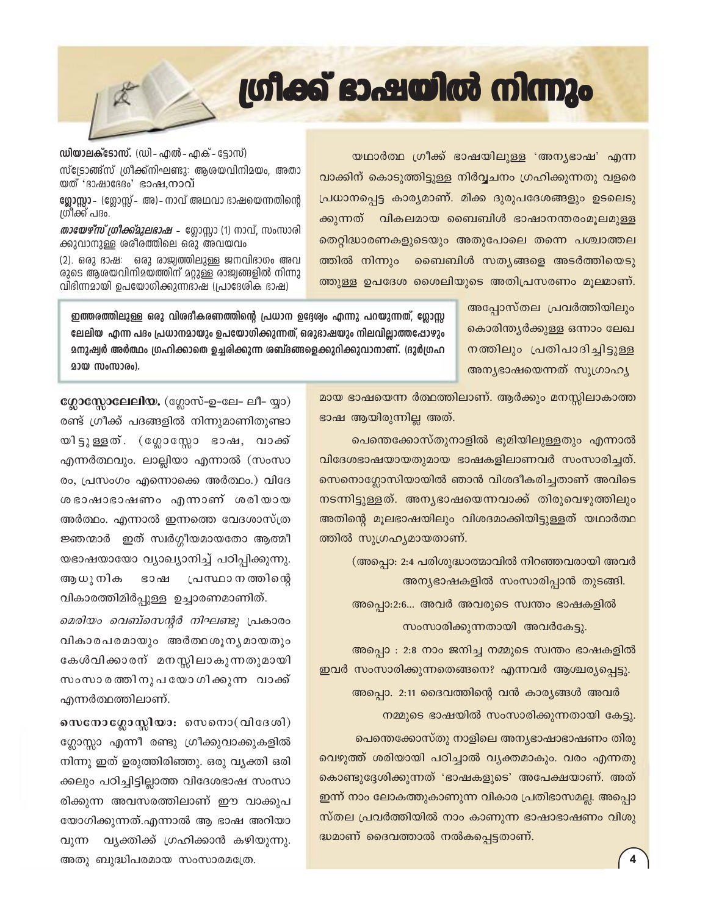യഥാർത്ഥ ഗ്രീക്ക് ഭാഷയിലുള്ള 'അന്യഭാഷ' എന്ന വാക്കിന് കൊടുത്തിട്ടുള്ള നിർവ്വചനം ഗ്രഹിക്കുന്നതു വളരെ പ്രധാനപ്പെട്ട കാര്യമാണ്. മിക്ക ദുരുപദേശങ്ങളും ഉടലെടു ക്കുന്നത് വികലമായ ബൈബിൾ ഭാഷാനന്തരംമൂലമുള്ള തെറ്റിദ്ധാരണകളുടെയും അതുപോലെ തന്നെ പശ്ചാത്തല ത്തിൽ നിന്നും ബൈബിൾ സത്യങ്ങളെ അടർത്തിയെടു ത്തുള്ള ഉപദേശ ശൈലിയുടെ അതിപ്രസരണം മൂലമാണ്.

അപോസ്തല പ്രവർത്തിയിലും കൊരിന്ത്യർക്കുള്ള ഒന്നാം ലേഖ നത്തിലും പ്രതിപാദിച്ചിട്ടുള്ള അന്യഭാഷയെന്നത് സുഗ്രാഹ്യ

ഇത്തരത്തിലുള്ള ഒരു വിശദീകരണത്തിന്റെ പ്രധാന ഉദ്ദേശ്വം എന്നു പറയുന്നത്, ഗ്ലോസ്റ്റ ലേലിയ എന്ന പദം പ്രധാനമായും ഉപയോഗിക്കുന്നത്, ഒരുഭാഷയും നിലവില്ലാത്തഷോഴും മനുഷ്വർ അർത്ഥം ഗ്രഹിക്കാതെ ഉച്ചരിക്കുന്ന ശബ്ദങ്ങളെക്കുറിക്കുവാനാണ്. (ദുർഗ്രഹ **200 സംസാരം**).

> മായ ഭാഷയെന്ന ർത്ഥത്തിലാണ്. ആർക്കും മനസ്സിലാകാത്ത ഭാഷ ആയിരുന്നില്ല അത്.

പെന്തെക്കോസ്തുനാളിൽ ഭൂമിയിലുള്ളതും എന്നാൽ വിദേശഭാഷയായതുമായ ഭാഷകളിലാണവർ സംസാരിച്ചത്. സെനൊഗ്ലോസിയായിൽ ഞാൻ വിശദീകരിച്ചതാണ് അവിടെ നടന്നിട്ടുള്ളത്. അന്യഭാഷയെന്നവാക്ക് തിരുവെഴുത്തിലും അതിന്റെ മൂലഭാഷയിലും വിശദമാക്കിയിട്ടുള്ളത് യഥാർത്ഥ ത്തിൽ സുഗ്രഹ്യമായതാണ്.

(അപ്പൊ: 2:4 പരിശുദ്ധാത്മാവിൽ നിറഞ്ഞവരായി അവർ അന്യഭാഷകളിൽ സംസാരിപ്പാൻ തുടങ്ങി.

അപ്പൊ:2:6... അവർ അവരുടെ സ്വന്തം ഭാഷകളിൽ

സംസാരിക്കുന്നതായി അവർകേട്ടു. അപ്പൊ : 2:8 നാം ജനിച്ച നമ്മുടെ സ്വന്തം ഭാഷകളിൽ ഇവർ സംസാരിക്കുന്നതെങ്ങനെ? എന്നവർ ആശ്ചര്യപ്പെട്ടു.

അപ്പൊ. 2:11 ദൈവത്തിന്റെ വൻ കാര്യങ്ങൾ അവർ നമ്മുടെ ഭാഷയിൽ സംസാരിക്കുന്നതായി കേട്ടു. പെന്തെക്കോസ്തു നാളിലെ അന്യഭാഷാഭാഷണം തിരു വെഴുത്ത് ശരിയായി പഠിച്ചാൽ വ്യക്തമാകും. വരം എന്നതു കൊണ്ടുദ്ദേശിക്കുന്നത് 'ഭാഷകളുടെ' അപേക്ഷയാണ്. അത് ഇന്ന് നാം ലോകത്തുകാണുന്ന വികാര പ്രതിഭാസമല്ല. അപ്പൊ സ്തല പ്രവർത്തിയിൽ നാം കാണുന്ന ഭാഷാഭാഷണം വിശു ദ്ധമാണ് ദൈവത്താൽ നൽകപ്പെട്ടതാണ്.

ഗ്ലോസ്സോലേലിയ. (ഗ്ലോസ്-ഉ-ലേ- ലീ- യ്യാ) രണ്ട് ഗ്രീക്ക് പദങ്ങളിൽ നിന്നുമാണിതുണ്ടാ യിട്ടുള്ളത്. (ഗ്ലോസ്ലോ ഭാഷ, വാക്ക് എന്നർത്ഥവും. ലാല്ലിയാ എന്നാൽ (സംസാ രം, പ്രസംഗം എന്നൊക്കെ അർത്ഥം.) വിദേ ശഭാഷാഭാഷണം എന്നാണ് ശരിയായ അർത്ഥം. എന്നാൽ ഇന്നത്തെ വേദശാസ്ത്ര ജ്ഞന്മാർ ഇത് സ്വർഗ്ഗീയമായതോ ആത്മീ യഭാഷയായോ വ്യാഖ്യാനിച്ച് പഠിപ്പിക്കുന്നു. ആധു നിക ഭാഷ പ്രസ്ഥാ ന ത്തിന്റെ വികാരത്തിമിർപ്പുള്ള ഉച്ചാരണമാണിത്.

*മെരിയം വെബ്സെന്റർ നിഘണ്ടു* പ്രകാരം വികാരപരമായും അർത്ഥശൂനൃമായതും കേൾവിക്കാരന് മനസ്സിലാകുന്നതുമായി സംസാരത്തിനുപയോഗിക്കുന്ന വാക്ക് എന്നർത്ഥത്തിലാണ്.

സെനോഗ്ലോസ്സിയാ: സെനൊ $($ വിദേശി $)$ ഗ്ലോസ്സാ എന്നീ രണ്ടു ഗ്രീക്കുവാക്കുകളിൽ നിന്നു ഇത് ഉരുത്തിരിഞ്ഞു. ഒരു വ്യക്തി ഒരി ക്കലും പഠിച്ചിട്ടില്ലാത്ത വിദേശഭാഷ സംസാ രിക്കുന്ന അവസരത്തിലാണ് ഈ വാക്കുപ യോഗിക്കുന്നത്.എന്നാൽ ആ ഭാഷ അറിയാ വ്യക്തിക്ക് ഗ്രഹിക്കാൻ കഴിയുന്നു. വുന്ന അതു ബുദ്ധിപരമായ സംസാരമത്രേ.

## ഗ്രിക്ക് ഭാഷയിൽ നിന്നും

*തായേഴ്സ് ഗ്രീക്ക്മൂലഭാഷ –* ഗ്ലോസ്ലാ (1) നാവ്, സംസാരി

**ഡിയാലക്ടോസ്.** (ഡി - എൽ - എക് - ട്ടോസ്) സ്ട്രോങ്ങ്സ് ഗ്രീക്ക്നിഘണ്ടു: ആശയവിനിമയം, അതാ യത് 'ദാഷാദേദം' ഭാഷ,നാവ്

ഗ്ലോസ്ലാ - (ഗ്ലോസ്ല് - അ) - നാവ് അഥവാ ഭാഷയെന്നതിന്റെ ശ്രീക്ക് പദം.

ക്കുവാനുള്ള ശരീരത്തിലെ ഒരു അവയവം

(2). ഒരു ഭാഷ: ഒരു രാജ്വത്തിലുള്ള ജനവിഭാഗം അവ രുടെ ആരയവിനിമയത്തിന് മറ്റുള്ള രാജ്വങ്ങളിൽ നിന്നു വിദിന്നമായി ഉപയോഗിക്കുന്നഭാഷ (പ്രാദേശിക ഭാഷ)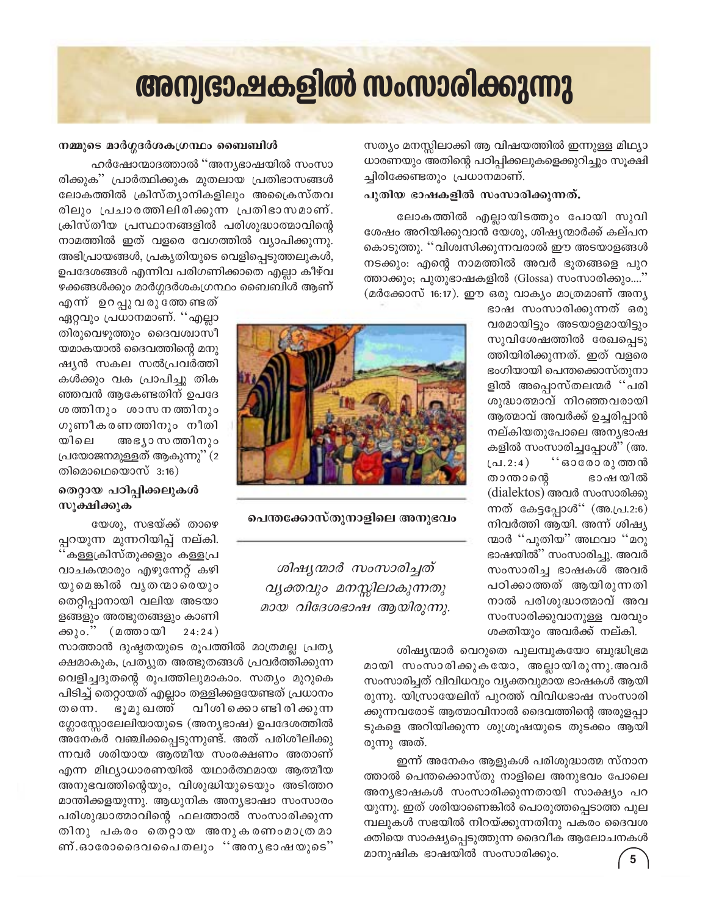## അന്വഭാഷകളിൽ സംസാരിക്കുന്നു

സത്യം മനസ്സിലാക്കി ആ വിഷയത്തിൽ ഇന്നുള്ള മിഥ്യാ ധാരണയും അതിന്റെ പഠിപ്പിക്കലുകളെക്കുറിച്ചും സൂക്ഷി ച്ചിരിക്കേണ്ടതും പ്രധാനമാണ്.

#### പുതിയ ഭാഷകളിൽ സംസാരിക്കുന്നത്.

ലോകത്തിൽ എല്ലായിടത്തും പോയി സുവി ശേഷം അറിയിക്കുവാൻ യേശു, ശിഷ്യന്മാർക്ക് കല്പന കൊടുത്തു. ''വിശ്വസിക്കുന്നവരാൽ ഈ അടയാളങ്ങൾ നടക്കും: എന്റെ നാമത്തിൽ അവർ ഭൂതങ്ങളെ പുറ ത്താക്കും; പുതുഭാഷകളിൽ (Glossa) സംസാരിക്കും....' (മർക്കോസ് 16:17). ഈ ഒരു വാക്യം മാത്രമാണ് അന്യ

> ഭാഷ സംസാരിക്കുന്നത് ഒരു വരമായിട്ടും അടയാളമായിട്ടും സുവിശേഷത്തിൽ രേഖപ്പെടു ത്തിയിരിക്കുന്നത്. ഇത് വളരെ ഭംഗിയായി പെന്തക്കൊസ്തുനാ ളിൽ അപ്പൊസ്തലന്മർ ''പരി ശുദ്ധാത്മാവ് നിറഞ്ഞവരായി ആത്മാവ് അവർക്ക് ഉച്ചരിപ്പാൻ നല്കിയതുപോലെ അനൃഭാഷ കളിൽ സംസാരിച്ചപ്പോൾ'' (അ. ്' ഓരോ രുത്തൻ (പ $.2:4)$ താന്താന്റെ ഭാഷയിൽ (dialektos) അവർ സംസാരിക്കു ന്നത് കേട്ടപ്പോൾ'' (അ.പ്ര.2:6) നിവർത്തി ആയി. അന്ന് ശിഷ്യ ന്മാർ ''പുതിയ'' അഥവാ ''മറു ഭാഷയിൽ" സംസാരിച്ചു. അവർ സംസാരിച്ച ഭാഷകൾ അവർ പഠിക്കാത്തത് ആയിരുന്നതി നാൽ പരിശുദ്ധാത്മാവ് അവ സംസാരിക്കുവാനുള്ള വരവും ശക്തിയും അവർക്ക് നല്കി.

ശിഷ്യന്മാർ വെറുതെ പുലമ്പുകയോ ബുദ്ധിഭ്രമ മായി സംസാരിക്കുകയോ, അല്ലായിരുന്നു.അവർ സംസാരിച്ചത് വിവിധവും വ്യക്തവുമായ ഭാഷകൾ ആയി രുന്നു. യിസ്രായേലിന് പുറത്ത് വിവിധഭാഷ സംസാരി ക്കുന്നവരോട് ആത്മാവിനാൽ ദൈവത്തിന്റെ അരുളപ്പാ ടുകളെ അറിയിക്കുന്ന ശുശ്രൂഷയുടെ തുടക്കം ആയി രുന്നു അത്.

ഇന്ന് അനേകം ആളുകൾ പരിശുദ്ധാത്മ സ്നാന ത്താൽ പെന്തക്കൊസ്തു നാളിലെ അനുഭവം പോലെ അന്യഭാഷകൾ സംസാരിക്കുന്നതായി സാക്ഷ്യം പറ യുന്നു. ഇത് ശരിയാണെങ്കിൽ പൊരുത്തപ്പെടാത്ത പുല മ്പലുകൾ സഭയിൽ നിറയ്ക്കുന്നതിനു പകരം ദൈവശ ക്തിയെ സാക്ഷ്യപ്പെടുത്തുന്ന ദൈവീക ആലോചനകൾ മാനുഷിക ഭാഷയിൽ സംസാരിക്കും.

#### നമ്മുടെ മാർഗ്ഗദർശകഗ്രന്ഥം ബൈബിൾ

ഹർഷോന്മാദത്താൽ ''അന്യഭാഷയിൽ സംസാ രിക്കുക'' പ്രാർത്ഥിക്കുക മുതലായ പ്രതിഭാസങ്ങൾ ലോകത്തിൽ ക്രിസ്ത്യാനികളിലും അക്രൈസ്തവ രിലും പ്രചാരത്തിലിരിക്കുന്ന പ്രതിഭാസമാണ്. ക്രിസ്തീയ പ്രസ്ഥാനങ്ങളിൽ പരിശുദ്ധാത്മാവിന്റെ നാമത്തിൽ ഇത് വളരെ വേഗത്തിൽ വ്യാപിക്കുന്നു. അഭിപ്രായങ്ങൾ, പ്രകൃതിയുടെ വെളിപ്പെടുത്തലുകൾ, ഉപദേശങ്ങൾ എന്നിവ പരിഗണിക്കാതെ എല്ലാ കീഴ്വ ഴക്കങ്ങൾക്കും മാർഗ്ഗദർശകഗ്രന്ഥം ബൈബിൾ ആണ്

എന് ഉറപ്പുവരുത്തേണ്ടത് ഏറ്റവും പ്രധാനമാണ്. ''എല്ലാ തിരുവെഴുത്തും ദൈവശ്വാസീ യമാകയാൽ ദൈവത്തിന്റെ മനു ഷ്യൻ സകല സൽപ്രവർത്തി കൾക്കും വക പ്രാപിച്ചു തിക ഞ്ഞവൻ ആകേണ്ടതിന് ഉപദേ ശത്തിനും ശാസനത്തിനും ഗുണീകരണത്തിനും നീതി യിലെ അഭ്യാസ ത്തിനും പ്രയോജനമുള്ളത് ആകുന്നു'' (2 തിമൊഥെയൊസ് $3:16$ )

#### തെറ്റായ പഠിപ്പിക്കലുകൾ സൂക്ഷിക്കുക

യേശു, സഭയ്ക്ക് താഴെ പ്പറയുന്ന മുന്നറിയിപ്പ് നല്കി. കള്ളക്രിസ്തുക്കളും കള്ളപ്ര വാചകന്മാരും എഴുന്നേറ്റ് കഴി യുമെങ്കിൽ വൃതന്മാരെയും തെറ്റിപ്പാനായി വലിയ അടയാ ളങ്ങളും അത്ഭുതങ്ങളും കാണി ക്കുറ.് (മത്തായി  $24:24)$ 

സാത്താൻ ദുഷ്ടതയുടെ രൂപത്തിൽ മാത്രമല്ല പ്രത്യ ക്ഷമാകുക, പ്രത്യുത അത്ഭുതങ്ങൾ പ്രവർത്തിക്കുന്ന വെളിച്ചദൂതന്റെ രൂപത്തിലുമാകാം. സത്യം മുറുകെ പിടിച്ച് തെറ്റായത് എല്ലാം തള്ളിക്കളയേണ്ടത് പ്രധാനം വീശി ക്കൊണ്ടി രി ക്കുന്ന തന്നെ. ഭൂമുഖത്ത് ഗ്ലോസ്സോലേലിയായുടെ (അന്യഭാഷ) ഉപദേശത്തിൽ അനേകർ വഞ്ചിക്കപ്പെടുന്നുണ്ട്. അത് പരിശീലിക്കു ന്നവർ ശരിയായ ആത്മീയ സംരക്ഷണം അതാണ് എന്ന മിഥ്യാധാരണയിൽ യഥാർത്ഥമായ ആത്മീയ അനുഭവത്തിന്റെയും, വിശുദ്ധിയുടെയും അടിത്തറ മാന്തിക്കളയുന്നു. ആധുനിക അന്യഭാഷാ സംസാരം പരിശുദ്ധാത്മാവിന്റെ ഫലത്താൽ സംസാരിക്കുന്ന തിനു പകരം തെറ്റായ അനുകരണംമാത്രമാ ണ്.ഓരോദൈവപൈതലും ''അനൃഭാഷയുടെ''



പെന്തക്കോസ്തുനാളിലെ അനുഭവം

ശിഷ്യന്മാർ സംസാരിച്ചത് വ്യക്തവും മനസ്സിലാകുന്നതു മായ വിദേശഭാഷ ആയിരുന്നു.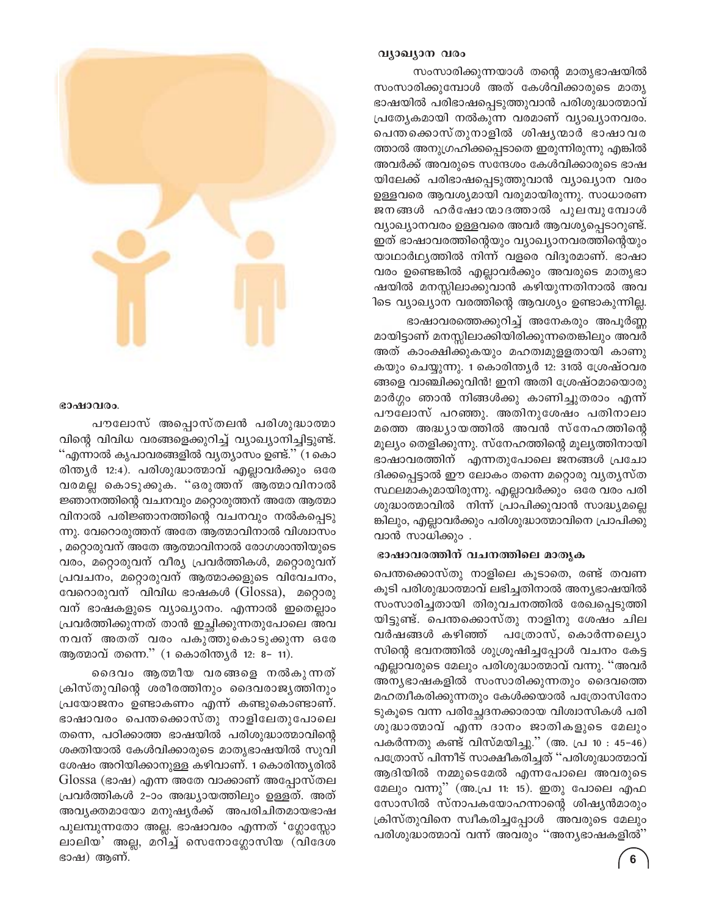#### വ്യാഖ്യാന വരം

സംസാരിക്കുന്നയാൾ തന്റെ മാതൃഭാഷയിൽ സംസാരിക്കുമ്പോൾ അത് കേൾവിക്കാരുടെ മാതൃ ഭാഷയിൽ പരിഭാഷപ്പെടുത്തുവാൻ പരിശുദ്ധാത്മാവ് പ്രത്യേകമായി നൽകുന്ന വരമാണ് വ്യാഖ്യാനവരം. പെന്തക്കൊസ്തുനാളിൽ ശിഷൃന്മാർ ഭാഷാവര ത്താൽ അനുഗ്രഹിക്കപ്പെടാതെ ഇരുന്നിരുന്നു എങ്കിൽ അവർക്ക് അവരുടെ സന്ദേശം കേൾവിക്കാരുടെ ഭാഷ യിലേക്ക് പരിഭാഷപ്പെടുത്തുവാൻ വ്യാഖ്യാന വരം ഉള്ളവരെ ആവശ്യമായി വരുമായിരുന്നു. സാധാരണ ജനങ്ങൾ ഹർഷോന്മാദത്താൽ പുലമ്പുമ്പോൾ വ്യാഖ്യാനവരം ഉള്ളവരെ അവർ ആവശ്യപ്പെടാറുണ്ട്. ഇത് ഭാഷാവരത്തിന്റെയും വ്യാഖ്യാനവരത്തിന്റെയും യാഥാർഥ്യത്തിൽ നിന്ന് വളരെ വിദൂരമാണ്. ഭാഷാ വരം ഉണ്ടെങ്കിൽ എല്ലാവർക്കും അവരുടെ മാതൃഭാ ഷയിൽ മനസ്സിലാക്കുവാൻ കഴിയുന്നതിനാൽ അവ ിടെ വ്യാഖ്യാന വരത്തിന്റെ ആവശ്യം ഉണ്ടാകുന്നില്ല.

ഭാഷാവരത്തെക്കുറിച്ച് അനേകരും അപൂർണ്ണ മായിട്ടാണ് മനസ്സിലാക്കിയിരിക്കുന്നതെങ്കിലും അവർ അത് കാംക്ഷിക്കുകയും മഹത്വമുളളതായി കാണു കയും ചെയ്യുന്നു. 1 കൊരിന്ത്യർ 12: 31ൽ ശ്രേഷ്ഠവര ങ്ങളെ വാഞ്ചിക്കുവിൻ! ഇനി അതി ശ്രേഷ്ഠമായൊരു മാർഗ്ഗം ഞാൻ നിങ്ങൾക്കു കാണിച്ചുതരാം എന്ന് പൗലോസ് പറഞ്ഞു. അതിനുശേഷം പതിനാലാ മത്തെ അദ്ധ്യായത്തിൽ അവൻ സ്നേഹത്തിന്റെ മൂല്യം തെളിക്കുന്നു. സ്നേഹത്തിന്റെ മൂല്യത്തിനായി ഭാഷാവരത്തിന് എന്നതുപോലെ ജനങ്ങൾ പ്രചോ ദിക്കപ്പെട്ടാൽ ഈ ലോകം തന്നെ മറ്റൊരു വ്യത്യസ്ത സ്ഥലമാകുമായിരുന്നു. എല്ലാവർക്കും ഒരേ വരം പരി ശുദ്ധാത്മാവിൽ നിന്ന് പ്രാപിക്കുവാൻ സാദ്ധ്യമല്ലെ ങ്കിലും, എല്ലാവർക്കും പരിശുദ്ധാത്മാവിനെ പ്രാപിക്കു വാൻ സാധിക്കും .

#### ഭാഷാവരത്തിന് വചനത്തിലെ മാതൃക

പെന്തക്കൊസ്തു നാളിലെ കൂടാതെ, രണ്ട് തവണ കൂടി പരിശുദ്ധാത്മാവ് ലഭിച്ചതിനാൽ അന്യഭാഷയിൽ സംസാരിച്ചതായി തിരുവചനത്തിൽ രേഖപ്പെടുത്തി യിട്ടുണ്ട്. പെന്തക്കൊസ്തു നാളിനു ശേഷം ചില വർഷങ്ങൾ കഴിഞ്ഞ് പത്രോസ്, കൊർന്നല്യൊ സിന്റെ ഭവനത്തിൽ ശുശ്രൂഷിച്ചപ്പോൾ വചനം കേട്ട എല്ലാവരുടെ മേലും പരിശുദ്ധാത്മാവ് വന്നു. ''അവർ അന്യഭാഷകളിൽ സംസാരിക്കുന്നതും ദൈവത്തെ മഹത്വീകരിക്കുന്നതും കേൾക്കയാൽ പത്രോസിനോ ടുകൂടെ വന്ന പരിച്ചേദനക്കാരായ വിശ്വാസികൾ പരി ശുദ്ധാത്മാവ് എന്ന ദാനം ജാതികളുടെ മേലും പകർന്നതു കണ്ട് വിസ്മയിച്ചു.'' (അ. പ്ര 10 : 45–46) പത്രോസ് പിന്നീട് സാക്ഷീകരിച്ചത് ''പരിശുദ്ധാത്മാവ് ആദിയിൽ നമ്മുടെമേൽ എന്നപോലെ അവരുടെ മേലും വന്നു'' (അ.പ്ര 11: 15). ഇതു പോലെ എഫ സോസിൽ സ്നാപകയോഹന്നാന്റെ ശിഷ്യൻമാരും ക്രിസ്തുവിനെ സ്വീകരിച്ചപ്പോൾ അവരുടെ മേലും പരിശുദ്ധാത്മാവ് വന്ന് അവരും ''അന്യഭാഷകളിൽ''

#### ഭാഷാവരം.

പൗലോസ് അപ്പൊസ്തലൻ പരിശുദ്ധാത്മാ വിന്റെ വിവിധ വരങ്ങളെക്കുറിച്ച് വ്യാഖ്യാനിച്ചിട്ടുണ്ട്. "എന്നാൽ കൃപാവരങ്ങളിൽ വ്യത്യാസം ഉണ്ട്.'' (1കൊ രിന്ത്യർ 12:4). പരിശുദ്ധാത്മാവ് എല്ലാവർക്കും ഒരേ വരമല്ല കൊടുക്കുക. "ഒരുത്തന് ആത്മാവിനാൽ ജ്ഞാനത്തിന്റെ വചനവും മറ്റൊരുത്തന് അതേ ആത്മാ വിനാൽ പരിജ്ഞാനത്തിന്റെ വചനവും നൽകപ്പെടു ന്നു. വേറൊരുത്തന് അതേ ആത്മാവിനാൽ വിശ്വാസം , മറ്റൊരുവന് അതേ ആത്മാവിനാൽ രോഗശാന്തിയുടെ വരം, മറ്റൊരുവന് വീര്യ പ്രവർത്തികൾ, മറ്റൊരുവന് പ്രവചനം, മറ്റൊരുവന് ആത്മാക്കളുടെ വിവേചനം, വേറൊരുവന് വിവിധ ഭാഷകൾ (Glossa), മറ്റൊരു വന് ഭാഷകളുടെ വ്യാഖ്യാനം. എന്നാൽ ഇതെല്ലാം പ്രവർത്തിക്കുന്നത് താൻ ഇച്ചിക്കുന്നതുപോലെ അവ നവന് അതത് വരം പകുത്തുകൊടുക്കുന്ന ഒരേ ആത്മാവ് തന്നെ." (1 കൊരിന്ത്യർ 12: 8- 11).

ദൈവം ആത്മീയ വരങ്ങളെ നൽകുന്നത് ക്രിസ്തുവിന്റെ ശരീരത്തിനും ദൈവരാജ്യത്തിനും പ്രയോജനം ഉണ്ടാകണം എന്ന് കണ്ടുകൊണ്ടാണ്. ഭാഷാവരം പെന്തക്കൊസ്തു നാളിലേതുപോലെ തന്നെ, പഠിക്കാത്ത ഭാഷയിൽ പരിശുദ്ധാത്മാവിന്റെ ശക്തിയാൽ കേൾവിക്കാരുടെ മാതൃഭാഷയിൽ സുവി ശേഷം അറിയിക്കാനുള്ള കഴിവാണ്. 1 കൊരിന്ത്യരിൽ Glossa (ഭാഷ) എന്ന അതേ വാക്കാണ് അപ്പോസ്തല പ്രവർത്തികൾ 2-ാം അദ്ധ്യായത്തിലും ഉള്ളത്. അത് അവൃക്തമായോ മനുഷൃർക്ക് അപരിചിതമായഭാഷ പുലമ്പുന്നതോ അല്ല. ഭാഷാവരം എന്നത് 'ഗ്ലോസ്സോ ലാലിയ' അല്ല, മറിച്ച് സെനോഗ്ലോസിയ (വിദേശ ഭാഷ) ആണ്.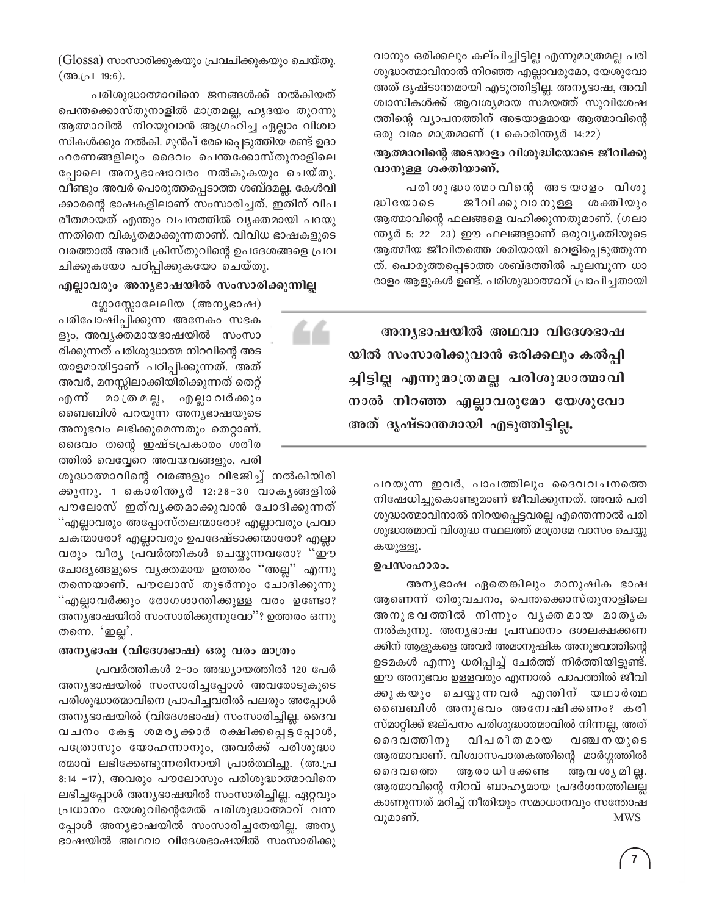വാനും ഒരിക്കലും കല്പിച്ചിട്ടില്ല എന്നുമാത്രമല്ല പരി ശുദ്ധാത്മാവിനാൽ നിറഞ്ഞ എല്ലാവരുമോ, യേശുവോ അത് ദൃഷ്ടാന്തമായി എടുത്തിട്ടില്ല. അന്യഭാഷ, അവി ശ്വാസികൾക്ക് ആവശ്യമായ സമയത്ത് സുവിശേഷ ത്തിന്റെ വ്യാപനത്തിന് അടയാളമായ ആത്മാവിന്റെ ഒരു വരം മാത്രമാണ് (1 കൊരിന്ത്യർ 14:22)

#### ആത്മാവിന്റെ അടയാളം വിശുദ്ധിയോടെ ജീവിക്കു വാനുള്ള ശക്തിയാണ്.

പരിശുദ്ധാതമാവിന്റെ അടയാളം വിശു ജീവിക്കു വാ നുള്ള ശക്തിയും ദ്ധിയോടെ ആത്മാവിന്റെ ഫലങ്ങളെ വഹിക്കുന്നതുമാണ്. (ഗലാ ന്ത്യർ 5: 22  $\,$  23) ഈ ഫലങ്ങളാണ് ഒരുവൃക്തിയുടെ ആത്മീയ ജീവിതത്തെ ശരിയായി വെളിപ്പെടുത്തുന്ന ത്. പൊരുത്തപ്പെടാത്ത ശബ്ദത്തിൽ പുലമ്പുന്ന ധാ രാളം ആളുകൾ ഉണ്ട്. പരിശുദ്ധാത്മാവ് പ്രാപിച്ചതായി

അന്യഭാഷയിൽ അഥവാ വിദേശഭാഷ യിൽ സംസാരിക്കുവാൻ ഒരിക്കലും കൽപ്പി ച്ചിട്ടില്ല എന്നുമാത്രമല്ല പരിശുദ്ധാത്മാവി നാൽ നിറഞ്ഞ എല്ലാവരുമോ യേശുവോ അത് ദൃഷ്ടാന്തമായി എടുത്തിട്ടില്ല.

പറയുന്ന ഇവർ, പാപത്തിലും ദൈവവചനത്തെ നിഷേധിച്ചുകൊണ്ടുമാണ് ജീവിക്കുന്നത്. അവർ പരി ശുദ്ധാത്മാവിനാൽ നിറയപ്പെട്ടവരല്ല എന്തെന്നാൽ പരി ശുദ്ധാത്മാവ് വിശുദ്ധ സ്ഥലത്ത് മാത്രമേ വാസം ചെയ്യു കയുള്ളു.

#### ഉപസംഹാരം.

അനൃഭാഷ ഏതെങ്കിലും മാനുഷിക ഭാഷ ആണെന്ന് തിരുവചനം, പെന്തക്കൊസ്തുനാളിലെ അനുഭവത്തിൽ നിന്നും വൃക്തമായ മാതൃക നൽകുന്നു. അന്യഭാഷ പ്രസ്ഥാനം ദശലക്ഷക്കണ ക്കിന് ആളുകളെ അവർ അമാനുഷിക അനുഭവത്തിന്റെ ഉടമകൾ എന്നു ധരിപ്പിച്ച് ചേർത്ത് നിർത്തിയിട്ടുണ്ട്. ഈ അനുഭവം ഉള്ളവരും എന്നാൽ പാപത്തിൽ ജീവി ക്കുകയും ചെയ്യുന്നവർ എന്തിന് യഥാർത്ഥ ബൈബിൾ അനുഭവം അന്വേഷിക്കണം? കരി സ്മാറ്റിക്ക് ജല്പനം പരിശുദ്ധാത്മാവിൽ നിന്നല്ല, അത് ദൈവത്തിനു വിപരീതമായ വഞ്ച നയുടെ ആത്മാവാണ്. വിശ്വാസപാതകത്തിന്റെ മാർഗ്ഗത്തിൽ ദൈവത്തെ ആ രാ ധി ക്കേണ്ട ആവ ശ്യ മി ല്ല. ആത്മാവിന്റെ നിറവ് ബാഹ്യമായ പ്രദർശനത്തിലല്ല കാണുന്നത് മറിച്ച് നീതിയും സമാധാനവും സന്തോഷ വുമാണ്. **MWS** 

(Glossa) സംസാരിക്കുകയും പ്രവചിക്കുകയും ചെയ്തു. (അ.പ്ര 19:6).

പരിശുദ്ധാത്മാവിനെ ജനങ്ങൾക്ക് നൽകിയത് പെന്തക്കൊസ്തുനാളിൽ മാത്രമല്ല, ഹൃദയം തുറന്നു ആത്മാവിൽ നിറയുവാൻ ആഗ്രഹിച്ച ഏല്ലാം വിശ്വാ സികൾക്കും നൽകി. മുൻപ് രേഖപ്പെടുത്തിയ രണ്ട് ഉദാ ഹരണങ്ങളിലും ദൈവം പെന്തക്കോസ്തുനാളിലെ പ്പോലെ അനൃഭാഷാവരം നൽകുകയും ചെയ്തു. വീണ്ടും അവർ പൊരുത്തപ്പെടാത്ത ശബ്ദമല്ല, കേൾവി ക്കാരന്റെ ഭാഷകളിലാണ് സംസാരിച്ചത്. ഇതിന് വിപ രീതമായത് എന്തും വചനത്തിൽ വ്യക്തമായി പറയു ന്നതിനെ വികൃതമാക്കുന്നതാണ്. വിവിധ ഭാഷകളുടെ വരത്താൽ അവർ ക്രിസ്തുവിന്റെ ഉപദേശങ്ങളെ പ്രവ ചിക്കുകയോ പഠിപ്പിക്കുകയോ ചെയ്തു.

#### എല്ലാവരും അനൃഭാഷയിൽ സംസാരിക്കുന്നില്ല

ഗ്ലോസ്സോലേലിയ (അന്യഭാഷ) പരിപോഷിപ്പിക്കുന്ന അനേകം സഭക ളും, അവൃക്തമായഭാഷയിൽ സംസാ രിക്കുന്നത് പരിശുദ്ധാത്മ നിറവിന്റെ അട യാളമായിട്ടാണ് പഠിപ്പിക്കുന്നത്. അത് അവർ, മനസ്സിലാക്കിയിരിക്കുന്നത് തെറ്റ് എന്ന് മാത്രമല്ല, എല്ലാവർക്കും ബൈബിൾ പറയുന്ന അന്യഭാഷയുടെ അനുഭവം ലഭിക്കുമെന്നതും തെറ്റാണ്. ദൈവം തന്റെ ഇഷ്ടപ്രകാരം ശരീര ത്തിൽ വെവ്വേറെ അവയവങ്ങളും, പരി

ശുദ്ധാത്മാവിന്റെ വരങ്ങളും വിഭജിച്ച് നൽകിയിരി ക്കുന്നു. 1 കൊരിന്തൃർ 12:28-30 വാകൃങ്ങളിൽ പൗലോസ് ഇത്വൃക്തമാക്കുവാൻ ചോദിക്കുന്നത് ്എല്ലാവരും അപ്പോസ്തലന്മാരോ? എല്ലാവരും പ്രവാ ചകന്മാരോ? എല്ലാവരും ഉപദേഷ്ടാക്കന്മാരോ? എല്ലാ വരും വീര്യ പ്രവർത്തികൾ ചെയ്യുന്നവരോ? ''ഈ ചോദ്യങ്ങളുടെ വ്യക്തമായ ഉത്തരം ''അല്ല'' എന്നു തന്നെയാണ്. പൗലോസ് തുടർന്നും ചോദിക്കുന്നു "എല്ലാവർക്കും രോഗശാന്തിക്കുള്ള വരം ഉണ്ടോ? അന്യഭാഷയിൽ സംസാരിക്കുന്നുവോ"? ഉത്തരം ഒന്നു തന്നെ. 'ഇല്ല'.

#### അനൃഭാഷ (വിദേശഭാഷ) ഒരു വരം മാത്രം

പ്രവർത്തികൾ 2-ാം അദ്ധ്യായത്തിൽ 120 പേർ അന്യഭാഷയിൽ സംസാരിച്ചപ്പോൾ അവരോടുകൂടെ പരിശുദ്ധാത്മാവിനെ പ്രാപിച്ചവരിൽ പലരും അപ്പോൾ അന്യഭാഷയിൽ (വിദേശഭാഷ) സംസാരിച്ചില്ല. ദൈവ വചനം കേട്ട ശമരൃക്കാർ രക്ഷിക്കപ്പെട്ടപ്പോൾ, പത്രോസും യോഹന്നാനും, അവർക്ക് പരിശുദ്ധാ ത്മാവ് ലഭിക്കേണ്ടുന്നതിനായി പ്രാർത്ഥിച്ചു. (അ.പ്ര 8:14 -17), അവരും പൗലോസും പരിശുദ്ധാത്മാവിനെ ലഭിച്ചപ്പോൾ അന്യഭാഷയിൽ സംസാരിച്ചില്ല. ഏറ്റവും പ്രധാനം യേശുവിന്റെമേൽ പരിശുദ്ധാത്മാവ് വന്ന പ്പോൾ അന്യഭാഷയിൽ സംസാരിച്ചതേയില്ല. അന്യ ഭാഷയിൽ അഥവാ വിദേശഭാഷയിൽ സംസാരിക്കു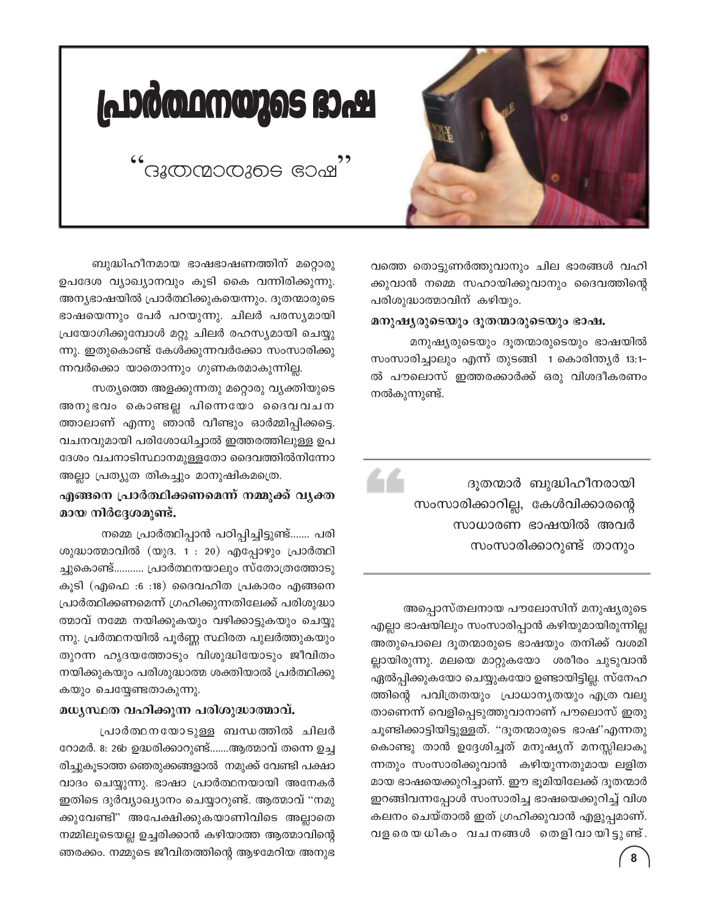

# പ്രാർത്ഥനയുടെ ഭാഷ

.<br>ദുതന്മാരുടെ ഭാഷ

വത്തെ തൊട്ടുണർത്തുവാനും ചില ഭാരങ്ങൾ വഹി ക്കുവാൻ നമ്മെ സഹായിക്കുവാനും ദൈവത്തിന്റെ പരിശുദ്ധാത്മാവിന് കഴിയും.

#### മനുഷ്യരുടെയും ദൂതന്മാരുടെയും ഭാഷ.

44

മനുഷ്യരുടെയും ദൂതന്മാരുടെയും ഭാഷയിൽ സംസാരിച്ചാലും എന്ന് തുടങ്ങി 1 കൊരിന്ത്യർ 13:1-ൽ പൗലൊസ് ഇത്തരക്കാർക്ക് ഒരു വിശദീകരണം നൽകുന്നുണ്ട്.

> ദുതന്മാർ ബുദ്ധിഹീനരായി സംസാരിക്കാറില്ല, കേൾവിക്കാരന്റെ സാധാരണ ഭാഷയിൽ അവർ സംസാരിക്കാറുണ്ട് താനും

അപ്പൊസ്തലനായ പൗലോസിന് മനുഷ്യരുടെ എല്ലാ ഭാഷയിലും സംസാരിപ്പാൻ കഴിയുമായിരുന്നില്ല അതുപൊലെ ദുതന്മാരുടെ ഭാഷയും തനിക്ക് വശമി ല്ലായിരുന്നു. മലയെ മാറ്റുകയോ ശരീരം ചുടുവാൻ ഏൽപ്പിക്കുകയോ ചെയ്യുകയോ ഉണ്ടായിട്ടില്ല. സ്നേഹ ത്തിന്റെ പവിത്രതയും പ്രാധാന്യതയും എത്ര വലു താണെന്ന് വെളിപ്പെടുത്തുവാനാണ് പൗലൊസ് ഇതു ചൂണ്ടിക്കാട്ടിയിട്ടുള്ളത്. "ദൂതന്മാരുടെ ഭാഷ"എന്നതു കൊണ്ടു താൻ ഉദ്ദേശിച്ചത് മനുഷ്യന് മനസ്സിലാകു ന്നതും സംസാരിക്കുവാൻ കഴിയുന്നതുമായ ലളിത മായ ഭാഷയെക്കുറിച്ചാണ്. ഈ ഭൂമിയിലേക്ക് ദൂതന്മാർ ഇറങ്ങിവന്നപ്പോൾ സംസാരിച്ച ഭാഷയെക്കുറിച്ച് വിശ കലനം ചെയ്താൽ ഇത് ഗ്രഹിക്കുവാൻ എളുപ്പമാണ്. വളരെയധികം വചനങ്ങൾ തെളിവായിട്ടുണ്ട്.

ബുദ്ധിഹീനമായ ഭാഷഭാഷണത്തിന് മറ്റൊരു ഉപദേശ വ്യാഖ്യാനവും കൂടി കൈ വന്നിരിക്കുന്നു. അന്യഭാഷയിൽ പ്രാർത്ഥിക്കുകയെന്നും. ദൂതന്മാരുടെ ഭാഷയെന്നും പേർ പറയുന്നു. ചിലർ പരസ്യമായി പ്രയോഗിക്കുമ്പോൾ മറ്റു ചിലർ രഹസ്യമായി ചെയ്യു ന്നു. ഇതുകൊണ്ട് കേൾക്കുന്നവർക്കോ സംസാരിക്കു ന്നവർക്കൊ യാതൊന്നും ഗുണകരമാകുന്നില്ല.

സത്യത്തെ അളക്കുന്നതു മറ്റൊരു വ്യക്തിയുടെ അനുഭവം കൊണ്ടല്ല പിന്നെയോ ദൈവവചന ത്താലാണ് എന്നു ഞാൻ വീണ്ടും ഓർമ്മിപ്പിക്കട്ടെ. വചനവുമായി പരിശോധിച്ചാൽ ഇത്തരത്തിലുള്ള ഉപ ദേശം വചനാടിസ്ഥാനമുള്ളതോ ദൈവത്തിൽനിന്നോ അല്ലാ പ്രത്യുത തികച്ചും മാനുഷികമത്രെ.

#### എങ്ങനെ പ്രാർത്ഥിക്കണമെന്ന് നമ്മുക്ക് വൃക്ത മായ നിർദ്ദേശമുണ്ട്.

നമ്മെ പ്രാർത്ഥിപ്പാൻ പഠിപ്പിച്ചിട്ടുണ്ട്....... പരി ശുദ്ധാത്മാവിൽ (യുദ. 1 : 20) എപ്പോഴും പ്രാർത്ഥി ച്ചുകൊണ്ട്........... പ്രാർത്ഥനയാലും സ്തോത്രത്തോടു കുടി (എഫെ :6 :18) ദൈവഹിത പ്രകാരം എങ്ങനെ പ്രാർത്ഥിക്കണമെന്ന് ഗ്രഹിക്കുന്നതിലേക്ക് പരിശുദ്ധാ ത്മാവ് നമ്മേ നയിക്കുകയും വഴിക്കാട്ടുകയും ചെയ്യു ന്നു. പ്രർത്ഥനയിൽ പൂർണ്ണ സ്ഥിരത പുലർത്തുകയും തുറന്ന ഹൃദയത്തോടും വിശുദ്ധിയോടും ജീവിതം നയിക്കുകയും പരിശുദ്ധാത്മ ശക്തിയാൽ പ്രർത്ഥിക്കു കയും ചെയ്യേണ്ടതാകുന്നു.

#### മധൃസ്ഥത വഹിക്കുന്ന പരിശുദ്ധാത്മാവ്.

പ്രാർത്ഥനയോടുള്ള ബന്ധത്തിൽ ചിലർ റോമർ. 8: 26b ഉദ്ധരിക്കാറുണ്ട്.......ആത്മാവ് തന്നെ ഉച്ച രിച്ചുകൂടാത്ത ഞെരുക്കങ്ങളാൽ നമുക്ക് വേണ്ടി പക്ഷാ വാദം ചെയ്യുന്നു. ഭാഷാ പ്രാർത്ഥനയായി അനേകർ ഇതിടെ ദുർവ്യാഖ്യാനം ചെയ്യാറുണ്ട്. ആത്മാവ് "നമു ക്കുവേണ്ടി" അപേക്ഷിക്കുകയാണിവിടെ അല്ലാതെ നമ്മിലൂടെയല്ല ഉച്ചരിക്കാൻ കഴിയാത്ത ആത്മാവിന്റെ ഞരക്കം. നമ്മുടെ ജീവിതത്തിന്റെ ആഴമേറിയ അനുഭ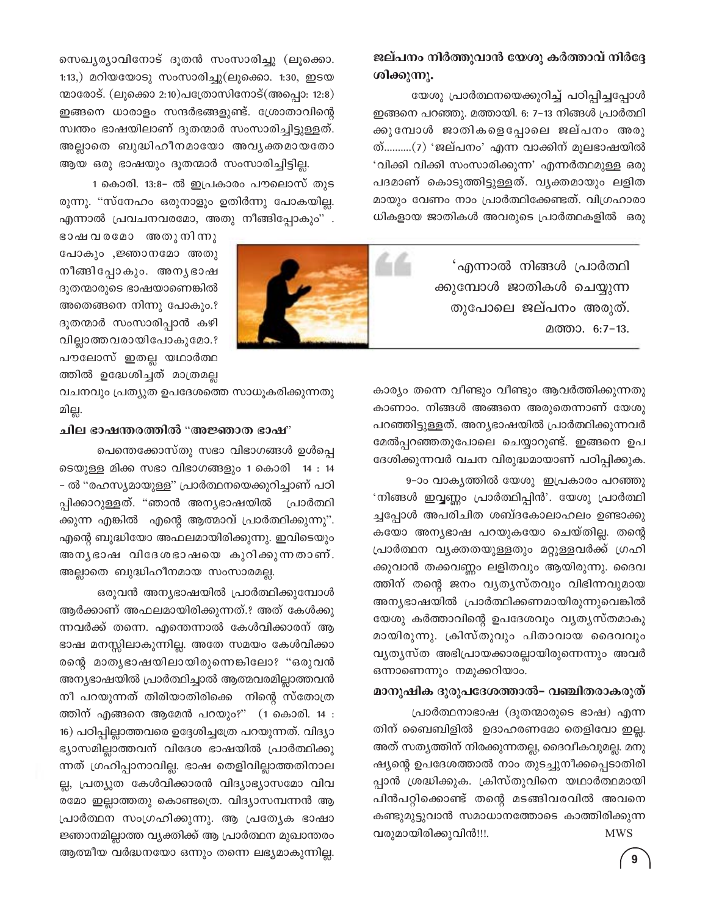#### ജല്പനം നിർത്തുവാൻ യേശു കർത്താവ് നിർദ്ദേ ശിക്കുന്നു.

യേശു പ്രാർത്ഥനയെക്കുറിച്ച് പഠിപ്പിച്ചപ്പോൾ ഇങ്ങനെ പറഞ്ഞു. മത്തായി. 6: 7-13 നിങ്ങൾ പ്രാർത്ഥി ക്കുമ്പോൾ ജാതികളെപ്പോലെ ജല്പനം അരു ത്..........(7) 'ജല്പനം' എന്ന വാക്കിന് മൂലഭാഷയിൽ 'വിക്കി വിക്കി സംസാരിക്കുന്ന' എന്നർത്ഥമുള്ള ഒരു പദമാണ് കൊടുത്തിട്ടുള്ളത്. വൃക്തമായും ലളിത മായും വേണം നാം പ്രാർത്ഥിക്കേണ്ടത്. വിഗ്രഹാരാ ധികളായ ജാതികൾ അവരുടെ പ്രാർത്ഥകളിൽ ഒരു

> 'എന്നാൽ നിങ്ങൾ പ്രാർത്ഥി ക്കുമ്പോൾ ജാതികൾ ചെയ്യുന്ന തുപോലെ ജല്പനം അരുത്. മത്താ. 6:7-13.

കാര്യം തന്നെ വീണ്ടും വീണ്ടും ആവർത്തിക്കുന്നതു കാണാം. നിങ്ങൾ അങ്ങനെ അരുതെന്നാണ് യേശു പറഞ്ഞിട്ടുള്ളത്. അന്യഭാഷയിൽ പ്രാർത്ഥിക്കുന്നവർ മേൽപ്പറഞ്ഞതുപോലെ ചെയ്യാറുണ്ട്. ഇങ്ങനെ ഉപ ദേശിക്കുന്നവർ വചന വിരുദ്ധമായാണ് പഠിപ്പിക്കുക.

9-ാം വാകൃത്തിൽ യേശു ഇപ്രകാരം പറഞ്ഞു 'നിങ്ങൾ ഇവ്വണ്ണം പ്രാർത്ഥിപ്പിൻ'. യേശു പ്രാർത്ഥി ച്ചപ്പോൾ അപരിചിത ശബ്ദകോലാഹലം ഉണ്ടാക്കു കയോ അന്യഭാഷ പറയുകയോ ചെയ്തില്ല. തന്റെ പ്രാർത്ഥന വ്യക്തതയുള്ളതും മറ്റുള്ളവർക്ക് ഗ്രഹി ക്കുവാൻ തക്കവണ്ണം ലളിതവും ആയിരുന്നു. ദൈവ ത്തിന് തന്റെ ജനം വ്യത്യസ്തവും വിഭിന്നവുമായ അന്യഭാഷയിൽ പ്രാർത്ഥിക്കണമായിരുന്നുവെങ്കിൽ യേശു കർത്താവിന്റെ ഉപദേശവും വൃതൃസ്തമാകു മായിരുന്നു. ക്രിസ്തുവും പിതാവായ ദൈവവും വ്യത്യസ്ത അഭിപ്രായക്കാരല്ലായിരുന്നെന്നും അവർ ഒന്നാണെന്നും നമുക്കറിയാം.

#### മാനുഷിക ദുരുപദേശത്താൽ– വഞ്ചിതരാകരുത്

പ്രാർത്ഥനാഭാഷ (ദൂതന്മാരുടെ ഭാഷ) എന്ന തിന് ബൈബിളിൽ ഉദാഹരണമോ തെളിവോ ഇല്ല. അത് സത്യത്തിന് നിരക്കുന്നതല്ല, ദൈവീകവുമല്ല. മനു ഷ്യന്റെ ഉപദേശത്താൽ നാം തുടച്ചുനീക്കപ്പെടാതിരി പ്പാൻ ശ്രദ്ധിക്കുക. ക്രിസ്തുവിനെ യഥാർത്ഥമായി പിൻപറ്റിക്കൊണ്ട് തന്റെ മടങ്ങിവരവിൽ അവനെ കണ്ടുമുട്ടുവാൻ സമാധാനത്തോടെ കാത്തിരിക്കുന്ന വരുമായിരിക്കുവിൻ!!!. **MWS** 

സെഖ്യര്യാവിനോട് ദൂതൻ സംസാരിച്ചു (ലൂക്കൊ.  $1:13$ .) മറിയയോടു സംസാരിച്ചു(ലൂക്കൊ. 1:30, ഇടയ  $\omega$ ാരോട്. (ലൂക്കൊ 2:10)പത്രോസിനോട്(അപ്പൊ: 12:8) ഇങ്ങനെ ധാരാളം സന്ദർഭങ്ങളുണ്ട്. ശ്രോതാവിന്റെ സ്വന്തം ഭാഷയിലാണ് ദൂതന്മാർ സംസാരിച്ചിട്ടുള്ളത്. അല്ലാതെ ബുദ്ധിഹീനമായോ അവൃക്തമായതോ ആയ ഒരു ഭാഷയും ദൂതന്മാർ സംസാരിച്ചിട്ടില്ല.

1 കൊരി. 13:8- ൽ ഇപ്രകാരം പൗലൊസ് തുട രുന്നു. "സ്നേഹം ഒരുനാളും ഉതിർന്നു പോകയില്ല. എന്നാൽ പ്രവചനവരമോ, അതു നീങ്ങിപ്പോകും".

ഭാഷവരമോ അതുനിന്നു പോകും ,ജ്ഞാനമോ അതു നീങ്ങിപ്പോകും. അനൃഭാഷ ദൂതന്മാരുടെ ഭാഷയാണെങ്കിൽ അതെങ്ങനെ നിന്നു പോകും.? ദൂതന്മാർ സംസാരിപ്പാൻ കഴി വില്ലാത്തവരായിപോകുമോ.? പൗലോസ് ഇതല്ല യഥാർത്ഥ ത്തിൽ ഉദ്ധേശിച്ചത് മാത്രമല്ല

വചനവും പ്രത്യുത ഉപദേശത്തെ സാധൂകരിക്കുന്നതു മില്ല.

#### ചില ഭാഷന്തരത്തിൽ "അജ്ഞാത ഭാഷ"

പെന്തെക്കോസ്തു സഭാ വിഭാഗങ്ങൾ ഉൾപ്പെ ടെയുള്ള മിക്ക സഭാ വിഭാഗങ്ങളും 1 കൊരി 14 : 14 – ൽ ''രഹസ്യമായുള്ള'' പ്രാർത്ഥനയെക്കുറിച്ചാണ് പഠി പ്പിക്കാറുള്ളത്. "ഞാൻ അന്യഭാഷയിൽ പ്രാർത്ഥി ക്കുന്ന എങ്കിൽ എന്റെ ആത്മാവ് പ്രാർത്ഥിക്കുന്നു". എന്റെ ബുദ്ധിയോ അഫലമായിരിക്കുന്നു. ഇവിടെയും അന്യഭാഷ വിദേശഭാഷയെ കുറിക്കുന്നതാണ്. അല്ലാതെ ബുദ്ധിഹീനമായ സംസാരമല്ല.

ഒരുവൻ അന്യഭാഷയിൽ പ്രാർത്ഥിക്കുമ്പോൾ ആർക്കാണ് അഫലമായിരിക്കുന്നത്.? അത് കേൾക്കു ന്നവർക്ക് തന്നെ. എന്തെന്നാൽ കേൾവിക്കാരന് ആ ഭാഷ മനസ്സിലാകുന്നില്ല. അതേ സമയം കേൾവിക്കാ രന്റെ മാതൃഭാഷയിലായിരുന്നെങ്കിലോ? "ഒരുവൻ അന്യഭാഷയിൽ പ്രാർത്ഥിച്ചാൽ ആത്മവരമില്ലാത്തവൻ നീ പറയുന്നത് തിരിയാതിരിക്കെ നിന്റെ സ്തോത്ര ത്തിന് എങ്ങനെ ആമേൻ പറയും?" (1 കൊരി. 14 : 16) പഠിപ്പില്ലാത്തവരെ ഉദ്ദേശിച്ചത്രേ പറയുന്നത്. വിദ്യാ ഭ്യാസമില്ലാത്തവന് വിദേശ ഭാഷയിൽ പ്രാർത്ഥിക്കു ന്നത് ഗ്രഹിപ്പാനാവില്ല. ഭാഷ തെളിവില്ലാത്തതിനാല ല്ല, പ്രത്യുത കേൾവിക്കാരൻ വിദ്യാഭ്യാസമോ വിവ രമോ ഇല്ലാത്തതു കൊണ്ടത്രെ. വിദ്യാസമ്പന്നൻ ആ പ്രാർത്ഥന സംഗ്രഹിക്കുന്നു. ആ പ്രത്യേക ഭാഷാ ജ്ഞാനമില്ലാത്ത വ്യക്തിക്ക് ആ പ്രാർത്ഥന മുഖാന്തരം ആത്മീയ വർദ്ധനയോ ഒന്നും തന്നെ ലഭ്യമാകുന്നില്ല.

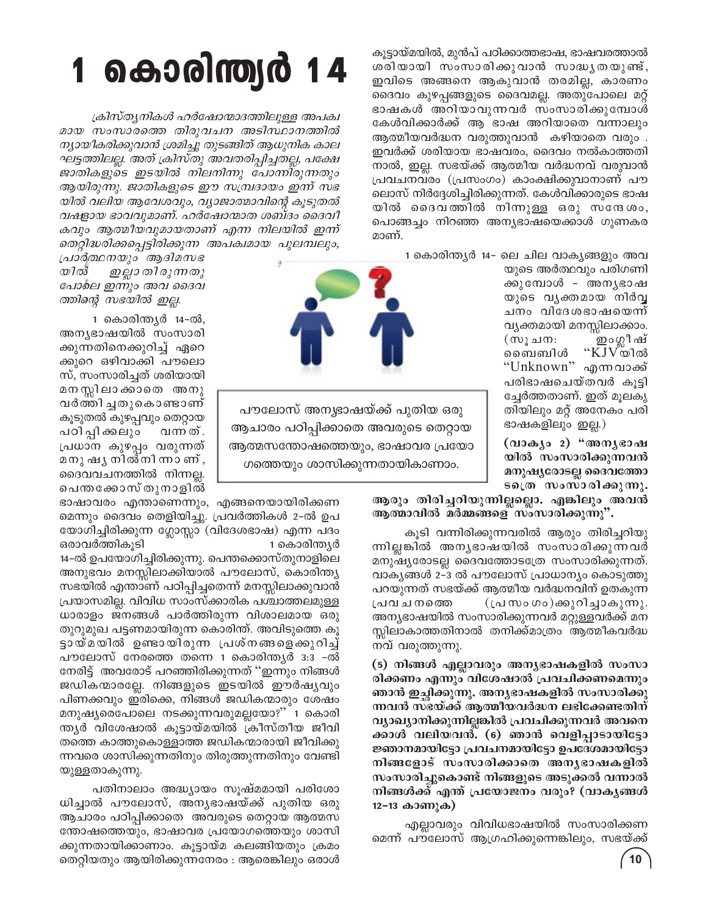കൂട്ടായ്മയിൽ, മുൻപ് പഠിക്കാത്തഭാഷ, ഭാഷവരത്താൽ ശരിയായി സംസാരിക്കുവാൻ സാദ്ധൃതയുണ്ട്, ഇവിടെ അങ്ങനെ ആകുവാൻ തരമില്ല, കാരണം ദൈവം കുഴപ്പങ്ങളുടെ ദൈവമല്ല. അതുപോലെ മറ്റ് ഭാഷകൾ അറിയാവുന്നവർ സംസാരിക്കുമ്പോൾ കേൾവിക്കാർക്ക് ആ ഭാഷ അറിയാതെ വന്നാലും ആത്മീയവർദ്ധന വരുത്തുവാൻ കഴിയാതെ വരും . ഇവർക്ക് ശരിയായ ഭാഷവരം, ദൈവം നൽകാത്തതി നാൽ, ഇല്ല. സഭയ്ക്ക് ആത്മീയ വർദ്ധനവ് വരുവാൻ പ്രവചനവരം (പ്രസംഗം) കാംക്ഷിക്കുവാനാണ് പൗ ലൊസ് നിർദ്ദേശിച്ചിരിക്കുന്നത്. കേൾവിക്കാരുടെ ഭാഷ യിൽ ദൈവത്തിൽ നിന്നുള്ള ഒരു സന്ദേശം, പൊങ്ങച്ചം നിറഞ്ഞ അന്യഭാഷയെക്കാൾ ഗുണകര മാണ്.

1 കൊരിന്ത്യർ 14– ലെ ചില വാക്യങ്ങളും അവ

യുടെ അർത്ഥവും പരിഗണി ക്കുമ്പോൾ - അനൃഭാഷ യുടെ വൃക്തമായ നിർവ്വ ചനം വിദേശഭാഷയെന്ന് വ്യക്തമായി മനസ്സിലാക്കാം. ഇം ഗ്ലീഷ് (സൂചന:  $"KJV$ യിൽ ബൈബിൾ "Unknown" എന്നവാക്ക് പരിഭാഷചെയ്തവർ കൂട്ടി ച്ചേർത്തതാണ്. ഇത് മൂലകൃ തിയിലും മറ്റ് അനേകം പരി ഭാഷകളിലും ഇല്ല.)

(വാക്യം 2) "അന്യഭാഷ യിൽ സംസാരിക്കുന്നവൻ മനുഷ്യരോടല്ല ദൈവത്തോ ടത്രെ സംസാരിക്കുന്നു.

ആരും തിരിച്ചറിയുന്നില്ലല്ലൊ. എങ്കിലും അവൻ ആത്മാവിൽ മർമ്മങ്ങളെ സംസാരിക്കുന്നു".

കൂടി വന്നിരിക്കുന്നവരിൽ ആരും തിരിച്ചറിയു ന്നില്ലങ്കിൽ അനൃഭാഷയിൽ സംസാരിക്കുന്നവർ മനുഷ്യരോടല്ല ദൈവത്തോടത്രേ സംസാരിക്കുന്നത്. വാകൃങ്ങൾ 2-3 ൽ പൗലോസ് പ്രാധാന്യം കൊടുത്തു പറയുന്നത് സഭയ്ക്ക് ആത്മീയ വർദ്ധനവിന് ഉതകുന്ന (പ്രസംഗം)ക്കുറിച്ചാകുന്നു. പ്രവചനത്തെ അന്യഭാഷയിൽ സംസാരിക്കുന്നവർ മറ്റുള്ളവർക്ക് മന സ്സിലാകാത്തതിനാൽ തനിക്ക്മാത്രം ആത്മീകവർദ്ധ നവ് വരുത്തുന്നു.

(5) നിങ്ങൾ എല്ലാവരും അന്യഭാഷകളിൽ സംസാ രിക്കണം എന്നും വിശേഷാൽ പ്രവചിക്കണമെന്നും ഞാൻ ഇച്ഛിക്കുന്നു. അന്യഭാഷകളിൽ സംസാരിക്കു ന്നവൻ സഭയ്ക്ക് ആത്മീയവർദ്ധന ലഭിക്കേണ്ടതിന് വ്യാഖ്യാനിക്കുന്നില്ലങ്കിൽ പ്രവചിക്കുന്നവർ അവനെ ക്കാൾ വലിയവൻ. (6) ഞാൻ വെളിപ്പാടായിട്ടോ ജ്ഞാനമായിട്ടോ പ്രവചനമായിട്ടോ ഉപദേശമായിട്ടോ നിങ്ങളോട് സംസാരിക്കാതെ അനൃഭാഷകളിൽ സംസാരിച്ചുകൊണ്ട് നിങ്ങളുടെ അടുക്കൽ വന്നാൽ നിങ്ങൾക്ക് എന്ത് പ്രയോജനം വരും? (വാകൃങ്ങൾ 12-13 കാണുക)

എല്ലാവരും വിവിധഭാഷയിൽ സംസാരിക്കണ മെന്ന് പൗലോസ് ആഗ്രഹിക്കുന്നെങ്കിലും, സഭയ്ക്ക്

# 1 കൊരിന്ത്യർ 14

ക്രിസ്തൃനികൾ ഹർഷോന്മാദത്തിലുള്ള അപക്വ മായ സംസാരത്തെ തിരുവചന അടിസ്ഥാനത്തിൽ ന്യായീകരിക്കുവാൻ ശ്രമിച്ചു തുടങ്ങിത് ആധുനിക കാല ഘട്ടത്തിലല്ല. അത് ക്രിസ്തു അവതരിപ്പിച്ചതല്ല, പക്ഷേ ജാതികളുടെ ഇടയിൽ നിലനിന്നു പോന്നിരുന്നതും ആയിരുന്നു. ജാതികളുടെ ഈ സമ്പ്രദായം ഇന്ന് സഭ യിൽ വലിയ ആവേശവും, വ്യാജാത്മാവിന്റെ കൂടുതൽ വഷളായ ഭാവവുമാണ്. ഹർഷോന്മാത ശബ്ദം ദൈവീ കവും ആത്മീയവുമായതാണ് എന്ന നിലയിൽ ഇന്ന് തെറ്റിദ്ധരിക്കപ്പെട്ടിരിക്കുന്ന അപക്വമായ പുലമ്പലും,

പ്രാർത്ഥനയും ആദിമസഭ യിൽ ഇല്ലാ തിരുന്നതു പോലെ ഇന്നും അവ ദൈവ ത്തിന്റെ സഭയിൽ ഇല്ല.

1 കൊരിന്ത്യർ 14-ൽ, അന്യഭാഷയിൽ സംസാരി ക്കുന്നതിനെക്കുറിച്ച് ഏറെ ക്കുറെ ഒഴിവാക്കി പൗലൊ സ്, സംസാരിച്ചത് ശരിയായി മനസ്സിലാക്കാതെ അനു വർത്തി ച്ചതുകൊണ്ടാണ് കൂടുതൽ കുഴപ്പവും തെറ്റായ പഠി പ്പി ക്കലും വന്ന ത് . പ്രധാന കുഴപ്പം വരുന്നത് മനു ഷ്യ നിൽനി ന്നാണ് , ദൈവവചനത്തിൽ നിന്നല്ല. പെന്തക്കോസ് തുനാളിൽ

ഭാഷാവരം എന്താണെന്നും, എങ്ങനെയായിരിക്കണ മെന്നും ദൈവം തെളിയിച്ചു. പ്രവർത്തികൾ 2–ൽ ഉപ യോഗിച്ചിരിക്കുന്ന ഗ്ലോസ്സാ (വിദേശഭാഷ) എന്ന പദം ഒരാവർത്തികൂടി 1 കൊരിന്ത്യർ

14–ൽ ഉപയോഗിച്ചിരിക്കുന്നു. പെന്തക്കൊസ്തുനാളിലെ അനുഭവം മനസ്സിലാക്കിയാൽ പൗലോസ്, കൊരിന്ത്യ സഭയിൽ എന്താണ് പഠിപ്പിച്ചതെന്ന് മനസ്സിലാക്കുവാൻ പ്രയാസമില്ല. വിവിധ സാംസ്ക്കാരിക പശ്ചാത്തലമുള്ള ധാരാളം ജനങ്ങൾ പാർത്തിരുന്ന വിശാലമായ ഒരു തുറുമുഖ പട്ടണമായിരുന്ന കൊരിന്ത്. അവിടുത്തെ കൂ ട്ടായ്മയിൽ ഉണ്ടായിരുന്ന പ്രശ്നങ്ങളെക്കുറിച്ച് പൗലോസ് നേരത്തെ തന്നെ 1 കൊരിന്ത്യർ 3:3 -ൽ നേരിട്ട് അവരോട് പറഞ്ഞിരിക്കുന്നത് ''ഇന്നും നിങ്ങൾ ജഡികന്മാരല്ലേ. നിങ്ങളുടെ ഇടയിൽ ഈർഷ്യവും പിണക്കവും ഇരിക്കെ, നിങ്ങൾ ജഡികന്മാരും ശേഷം മനുഷ്യരെപോലെ നടക്കുന്നവരുമല്ലയോ?'' 1 കൊരി ന്ത്യർ വിശേഷാൽ കൂട്ടായ്മയിൽ ക്രീസ്തീയ ജീവി തത്തെ കാത്തുകൊള്ളാത്ത ജഡികന്മാരായി ജീവിക്കു ന്നവരെ ശാസിക്കുന്നതിനും തിരുത്തുന്നതിനും വേണ്ടി യുള്ളതാകുന്നു.

പതിനാലാം അദ്ധ്യായം സൂഷ്മമായി പരിശോ ധിച്ചാൽ പൗലോസ്, അനൃഭാഷയ്ക്ക് പുതിയ ഒരു ആചാരം പഠിപ്പിക്കാതെ അവരുടെ തെറ്റായ ആത്മസ ന്തോഷത്തെയും, ഭാഷാവര പ്രയോഗത്തെയും ശാസി ക്കുന്നതായിക്കാണാം. കൂട്ടായ്മ കലങ്ങിയതും ക്രമം തെറ്റിയതും ആയിരിക്കുന്നനേരം : ആരെങ്കിലും ഒരാൾ



പൗലോസ് അനൃഭാഷയ്ക്ക് പുതിയ ഒരു ആചാരം പഠിപ്പിക്കാതെ അവരുടെ തെറ്റായ ആത്മസന്തോഷത്തെയും, ഭാഷാവര പ്രയോ ഗത്തെയും ശാസിക്കുന്നതായികാണാം.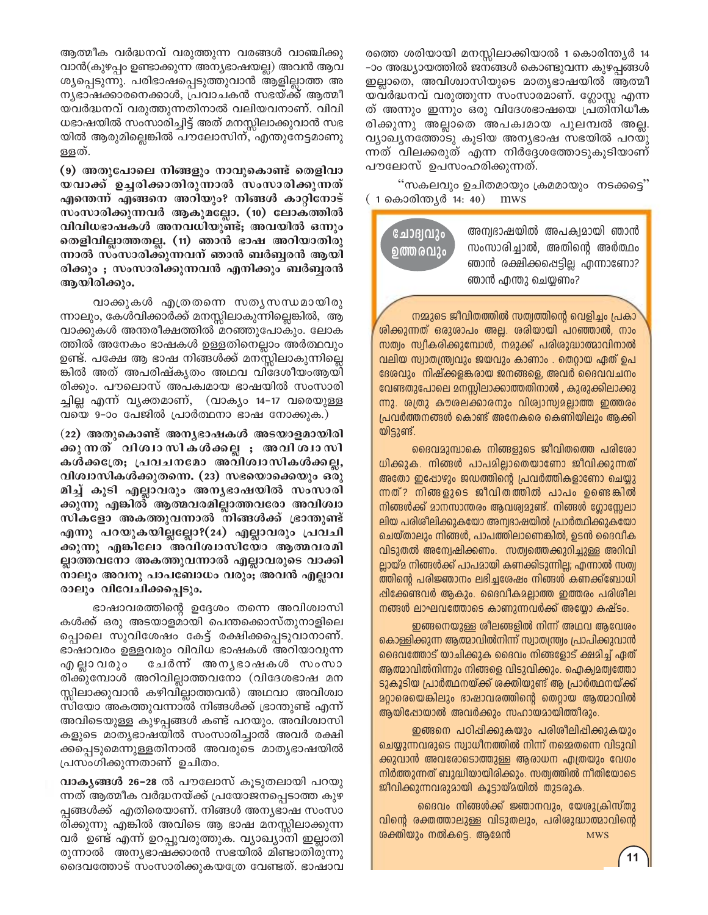ആത്മീക വർദ്ധനവ് വരുത്തുന്ന വരങ്ങൾ വാഞ്ചിക്കു വാൻ $(A_{\lambda})$ ഴപ്പം ഉണ്ടാക്കുന്ന അനൃഭാഷയല്ല) അവൻ ആവ ശ്യപ്പെടുന്നു. പരിഭാഷപ്പെടുത്തുവാൻ ആളില്ലാത്ത അ നൃഭാഷക്കാരനെക്കാൾ, പ്രവാചകൻ സഭയ്ക്ക് ആത്മീ യവർദ്ധനവ് വരുത്തുന്നതിനാൽ വലിയവനാണ്. വിവി ധഭാഷയിൽ സംസാരിച്ചിട്ട് അത് മനസ്സിലാക്കുവാൻ സഭ യിൽ ആരുമില്ലെങ്കിൽ പൗലോസിന്, എന്തുനേട്ടമാണു ള്ളത്.

(9) അതുപോലെ നിങ്ങളും നാവുകൊണ്ട് തെളിവാ യവാക്ക് ഉച്ചരിക്കാതിരുന്നാൽ സംസാരിക്കുന്നത് എന്തെന്ന് എങ്ങനെ അറിയും? നിങ്ങൾ കാറ്റിനോട് സംസാരിക്കുന്നവർ ആകുമല്ലോ. (10) ലോകത്തിൽ വിവിധഭാഷകൾ അനവധിയുണ്ട്; അവയിൽ ഒന്നും രതളിവില്ലാത്തതല്ല. (11) ഞാൻ ഭാഷ അറിയാതിരു ന്നാൽ സംസാരിക്കുന്നവന് ഞാൻ ബർബൂരൻ ആയി രിക്കും ; സംസാരിക്കുന്നവൻ എനിക്കും ബർബ്ബരൻ ആയിരിക്കും.

വാക്കുകൾ എത്രതന്നെ സതൃസന്ധമായിരു ന്നാലും, കേൾവിക്കാർക്ക് മനസ്സിലാകുന്നില്ലെങ്കിൽ, ആ വാക്കുകൾ അന്തരീക്ഷത്തിൽ മറഞ്ഞുപോകും. ലോക ത്തിൽ അനേകം ഭാഷകൾ ഉള്ളതിനെല്ലാം അർത്ഥവും ഉണ്ട്. പക്ഷേ ആ ഭാഷ നിങ്ങൾക്ക് മനസ്സിലാകുന്നില്ലെ ങ്കിൽ അത് അപരിഷ്കൃതം അഥവ വിദേശീയംആയി രിക്കും. പൗലൊസ് അപക്വമായ ഭാഷയിൽ സംസാരി ച്ചില്ല എന്ന് വൃക്തമാണ്, (വാകൃം 14−17 വരെയുള്ള വയെ 9–ാം പേജിൽ പ്രാർത്ഥനാ ഭാഷ നോക്കുക.)

(22) അതുകൊണ്ട് അനൃഭാഷകൾ അടയാളമായിരി ക്കുന്നത്വിശ്വാസികൾക്കല്ല**; അവിശ്വാസി** കൾക്ക**്രേ; പ്രവചനമോ അവിശ്വാസികൾക്കല്ല**, വിശ്വാസികൾക്കുതന്നെ. (23) സഭയൊക്കെയും ഒരു മിച്ച് കൂടി എല്ലാവരും അനൃഭാഷയിൽ സംസാരി ക്കുന്നു എങ്കിൽ ആത്മവരമില്ലാത്തവരോ അവിശ<del>്</del>വാ സികളോ അകത്തുവന്നാൽ നിങ്ങൾക്ക് ഭ്രാന്തുണ്ട് എന്നു പറയുകയില്ലല്ലോ**?(24) എല്ലാവരും പ്രവചി** ക്കുന്നു എങ്കിലോ അവിശ്വാസിയോ ആത്മവരമി **ല്ലാത്തവനോ അകത്തുവന്നാൽ എല്ലാവരുടെ വാക്കി** നാലും അവനു പാപബോധം വരും<del>,</del> അവൻ എല്ലാവ രാലും വിവേചിക്കപ്പെടും.

ഭാഷാവരത്തിന്റെ ഉദ്ദേശം തന്നെ അവിശ്വാസി കൾക്ക് ഒരു അടയാളമായി പെന്തക്കൊസ്തുനാളിലെ പ്പൊലെ സുവിശേഷം കേട്ട് രക്ഷിക്കപ്പെടുവാനാണ്. ഭാഷാവരം ഉള്ളവരും വിവിധ ഭാഷകൾ അറിയാവുന്ന എല്ലാവരും ചേർന്ന് അനൃഭാഷകൾ സംസാ രിക്കുമ്പോൾ അറിവില്ലാത്തവനോ (വിദേശഭാഷ മന സ്സിലാക്കുവാൻ കഴിവില്ലാത്തവൻ) അഥവാ അവിശ്വാ സിയോ അകത്തുവന്നാൽ നിങ്ങൾക്ക് ഭ്രാന്തുണ്ട് എന്ന് അവിടെയുള്ള കുഴപ്പങ്ങൾ കണ്ട് പറയും. അവിശ്വാസി കളുടെ മാതൃഭാഷയിൽ സംസാരിച്ചാൽ അവർ രക്ഷി ക്കപ്പെടുമെന്നുള്ളതിനാൽ അവരുടെ മാതൃഭാഷയിൽ ്പ്രസംഗിക്കുന്നതാണ് ഉചിതം.

**വാകൃങ്ങൾ 26-28** ൽ പൗലോസ് കൂടുതലായി പറയു ന്നത് ആത്മീക വർദ്ധനയ്ക്ക് പ്രയോജനപ്പെടാത്ത കുഴ പ്പങ്ങൾക്ക് എതിരെയാണ്. നിങ്ങൾ അനൃഭാഷ സംസാ രിക്കുന്നു എങ്കിൽ അവിടെ ആ ഭാഷ മനസ്സിലാക്കുന്ന വർ ഉണ്ട് എന്ന് ഉറപ്പുവരുത്തുക. വ്യാഖ്യാനി ഇല്ലാതി രുന്നാൽ അനൃഭാഷക്കാരൻ സഭയിൽ മിണ്ടാതിരുന്നു ദെവത്തോട് സംസാരിക്കുകയത്രേ വേണ്ടത്. ഭാഷാവ

രത്തെ ശരിയായി മനസ്സിലാക്കിയാൽ 1 കൊരിന്ത്യർ 14 -ാം അദ്ധ്യായത്തിൽ ജനങ്ങൾ കൊണ്ടുവന്ന കുഴപ്പങ്ങൾ ഇല്ലാതെ, അവിശ്വാസിയുടെ മാതൃഭാഷയിൽ ആത്മീ യവർദ്ധനവ് വരുത്തുന്ന സംസാരമാണ്. ഗ്ലോസ്സ എന്ന ത് അന്നും ഇന്നും ഒരു വിദേശഭാഷയെ പ്രതിനിധീക രിക്കുന്നു അല്ലാതെ അപക്വമായ പുലമ്പൽ അല്ല. വ്യാഖ്യനത്തോടു കൂടിയ അന്യഭാഷ സഭയിൽ പറയു ന്നത് വിലക്കരുത് എന്ന നിർദ്ദേശത്തോടുകൂടിയാണ് പൗലോസ് ഉപസംഹരിക്കുന്നത്.

"സകലവും ഉചിതമായും ക്രമമായും നടക്കട്ടെ"  $(1$  കൊരിന്ത്യർ 14: 40) mws

**ചോദ്വ**വും **ഉത്തരവും** 

അന്വഭാഷയിൽ അപക്വമായി ഞാൻ സംസാരിച്ചാൽ, അതിന്റെ അർത്ഥം ഞാൻ രക്ഷിക്കപ്പെട്ടില്ല എന്നാണോ? ഞാൻ എന്തു ചെയ്യണം?

നമ്മുടെ ജീവിതത്തിൽ സത്വത്തിന്റെ വെളിച്ചം പ്രകാ <u>രിക്കുന്നത് ഒരുരാപം അല്ല. രരിയായി പറഞ്ഞാൽ, നാം</u> സത്വം സ്വീകരിക്കുമ്പോൾ, നമുക്ക് പരിശുദ്ധാത്മാവിനാൽ വലിയ സ്വാതന്ത്ര്വവും ജയവും കാണാം . തെറ്റായ ഏത് ഉപ ദേശവും നിഷ്ക്കളങ്കരായ ജനങ്ങളെ, അവർ ദൈവവചനം വേണ്ടതുപോലെ മനസ്സിലാക്കാത്തതിനാൽ , കുരുക്കിലാക്കു ന്നു. ശത്രു കൗശലക്കാരനും വിശ്വാസ്വമല്ലാത്ത ഇത്തരം (പവർത്തനങ്ങൾ കൊണ്ട് അനേകരെ കെണിയിലും ആക്കി യിട്ടുണ്ട്.

ദൈവമുമ്പാകെ നിങ്ങളുടെ ജീവിതത്തെ പരിശോ ധിക്കുക. നിങ്ങൾ പാപമില്ലാതെയാണോ ജീവിക്കുന്നത് അതോ ഇഷോഴും ജഡത്തിന്റെ പ്രവർത്തികളാണോ ചെയ്യു ന്നത്? നിങ്ങളുടെ ജീവിതത്തിൽ പാപം ഉണ്ടെങ്കിൽ നിങ്ങൾക്ക് മാനസാന്തരം ആവശ്വമുണ്ട്. നിങ്ങൾ ഗ്ലോസ്സേലാ ലിയ പരിശിലിക്കുകയോ അന്വഭാഷയിൽ പ്രാർത്ഥിക്കുകയോ ചെയ്താലും നിങ്ങൾ, പാപത്തിലാണെങ്കിൽ, ഉടൻ ദൈവീക വിടുതൽ അന്വേഷിക്കണം. സത്വത്തെക്കുറിച്ചുള്ള അറിവി ല്ലായ്മ നിങ്ങൾക്ക് പാപമായി കണക്കിടുന്നില്ല; എന്നാൽ സത്വ ത്തിന്റെ പരിജ്ഞാനം ലഭിച്ചശേഷം നിങ്ങൾ കണക്ക്ബോധി ഷിക്കേണ്ടവർ ആകും. ദൈവീകമല്ലാത്ത ഇത്തരം പരിശീല നങ്ങൾ ലാഘവത്തോടെ കാണുന്നവർക്ക് അയ്യോ കഷ്ടം.

ഇങ്ങനെയുള്ള ശീലങ്ങളിൽ നിന്ന് അഥവ ആവേശം കൊള്ളിക്കുന്ന ആത്മാവിൽനിന്ന് സ്വാതന്ത്ര്വം പ്രാപിക്കുവാൻ ദൈവത്തോട് യാചിക്കുക ദൈവം നിങ്ങളോട് ക്ഷമിച്ച് ഏത് ആത്മാവിൽനിന്നും നിങ്ങളെ വിടുവിക്കും. ഐക്വമത്വത്തോ ടുകൂടിയ പ്രാർത്ഥനയ്ക്ക് ശക്തിയുണ്ട് ആ പ്രാർത്ഥനയ്ക്ക് <u>മറ്റാരെയെങ്കിലും ഭാഷാവരത്തിന്റെ തെറ്റായ ആത്മാവിൽ</u> ആയിഷോയാൽ അവർക്കും സഹായമായിത്തിരും.

ഇങ്ങനെ പഠിപ്പിക്കുകയും പരിശീലിപ്പിക്കുകയും ചെയ്യുന്നവരുടെ സ്വാധീനത്തിൽ നിന്ന് നമെ്മതന്നെ വിടുവി ക്കുവാൻ അവരോടൊത്തുള്ള ആരാധന എത്രയും വേഗം നിർത്തുന്നത് ബുദ്ധിയായിരിക്കും. സത്വത്തിൽ നീതിയോടെ ജീവിക്കുന്നവരുമായി കൂട്ടായ്മയിൽ തുടരുക.

ദൈവം നിങ്ങൾക്ക് ജ്ഞാനവും, യേശുക്രിസ്തു വിന്റെ രക്തത്താലുള്ള വിടുതലും, പരിശുദ്ധാത്മാവിന്റെ രക്തിയും നൽകട്ടെ. ആമേൻ സ്ഥാത സെട